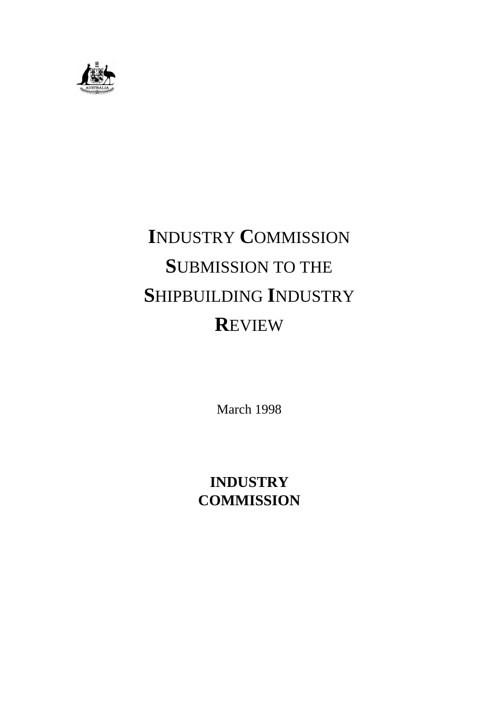

# **I**NDUSTRY **C**OMMISSION **S**UBMISSION TO THE **S**HIPBUILDING **I**NDUSTRY **R**EVIEW

March 1998

# **INDUSTRY COMMISSION**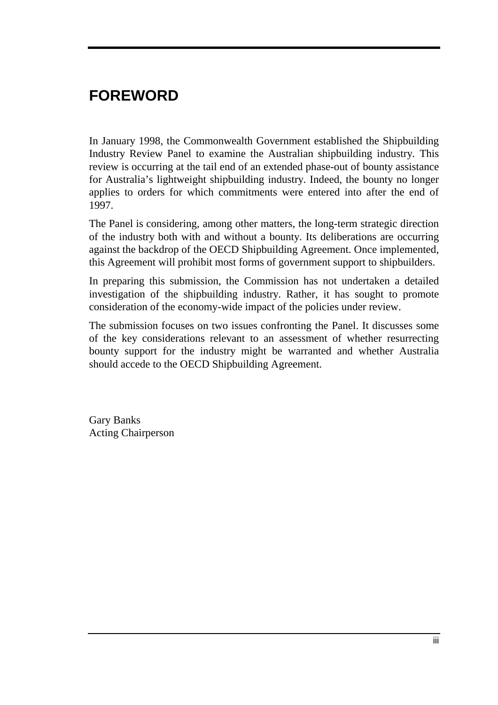# **FOREWORD**

In January 1998, the Commonwealth Government established the Shipbuilding Industry Review Panel to examine the Australian shipbuilding industry. This review is occurring at the tail end of an extended phase-out of bounty assistance for Australia's lightweight shipbuilding industry. Indeed, the bounty no longer applies to orders for which commitments were entered into after the end of 1997.

The Panel is considering, among other matters, the long-term strategic direction of the industry both with and without a bounty. Its deliberations are occurring against the backdrop of the OECD Shipbuilding Agreement. Once implemented, this Agreement will prohibit most forms of government support to shipbuilders.

In preparing this submission, the Commission has not undertaken a detailed investigation of the shipbuilding industry. Rather, it has sought to promote consideration of the economy-wide impact of the policies under review.

The submission focuses on two issues confronting the Panel. It discusses some of the key considerations relevant to an assessment of whether resurrecting bounty support for the industry might be warranted and whether Australia should accede to the OECD Shipbuilding Agreement.

Gary Banks Acting Chairperson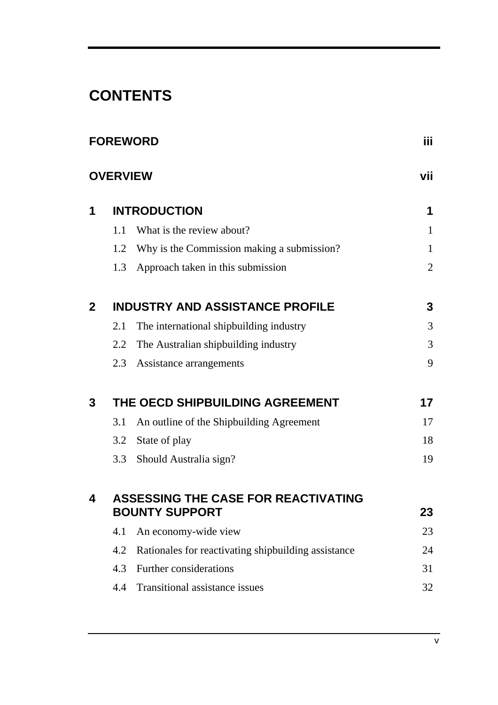# **CONTENTS**

|                |                 | <b>FOREWORD</b>                                     | iii.           |
|----------------|-----------------|-----------------------------------------------------|----------------|
|                | <b>OVERVIEW</b> |                                                     | vii            |
| 1              |                 | <b>INTRODUCTION</b>                                 | 1              |
|                | 1.1             | What is the review about?                           | $\mathbf{1}$   |
|                | 1.2             | Why is the Commission making a submission?          | $\mathbf{1}$   |
|                | 1.3             | Approach taken in this submission                   | $\overline{2}$ |
| $\overline{2}$ |                 | <b>INDUSTRY AND ASSISTANCE PROFILE</b>              | 3              |
|                | 2.1             | The international shipbuilding industry             | 3              |
|                | 2.2             | The Australian shipbuilding industry                | 3              |
|                | 2.3             | Assistance arrangements                             | 9              |
| 3              |                 | THE OECD SHIPBUILDING AGREEMENT                     | 17             |
|                | 3.1             | An outline of the Shipbuilding Agreement            | 17             |
|                | 3.2             | State of play                                       | 18             |
|                | 3.3             | Should Australia sign?                              | 19             |
| 4              |                 | <b>ASSESSING THE CASE FOR REACTIVATING</b>          |                |
|                |                 | <b>BOUNTY SUPPORT</b>                               | 23             |
|                | 4.1             | An economy-wide view                                | 23             |
|                | 4.2             | Rationales for reactivating shipbuilding assistance | 24             |
|                | 4.3             | Further considerations                              | 31             |
|                | 4.4             | Transitional assistance issues                      | 32             |
|                |                 |                                                     |                |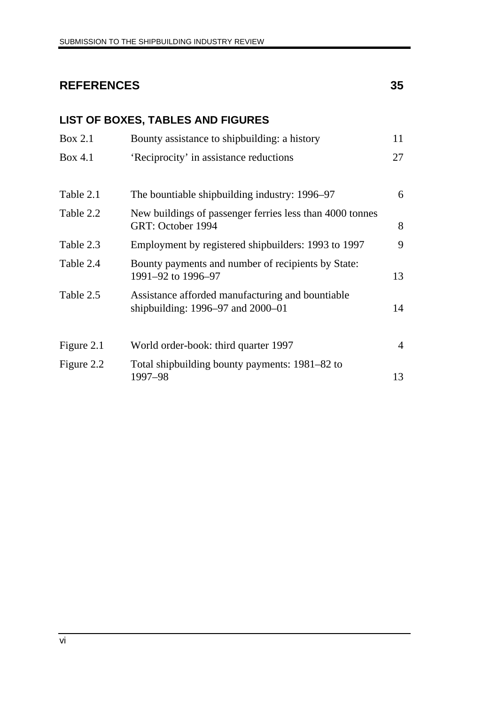# **REFERENCES 35**

# **LIST OF BOXES, TABLES AND FIGURES**

| <b>Box 2.1</b> | Bounty assistance to shipbuilding: a history                                                  | 11             |
|----------------|-----------------------------------------------------------------------------------------------|----------------|
| <b>Box 4.1</b> | 'Reciprocity' in assistance reductions                                                        | 27             |
| Table 2.1      | The bountiable shipbuilding industry: 1996–97                                                 | 6              |
| Table 2.2      | New buildings of passenger ferries less than 4000 tonnes<br>GRT: October 1994                 | 8              |
| Table 2.3      | Employment by registered shipbuilders: 1993 to 1997                                           | 9              |
| Table 2.4      | Bounty payments and number of recipients by State:<br>1991-92 to 1996-97                      | 13             |
| Table 2.5      | Assistance afforded manufacturing and bountiable<br>shipbuilding: $1996 - 97$ and $2000 - 01$ | 14             |
| Figure 2.1     | World order-book: third quarter 1997                                                          | $\overline{4}$ |
| Figure 2.2     | Total shipbuilding bounty payments: 1981–82 to<br>1997–98                                     | 13             |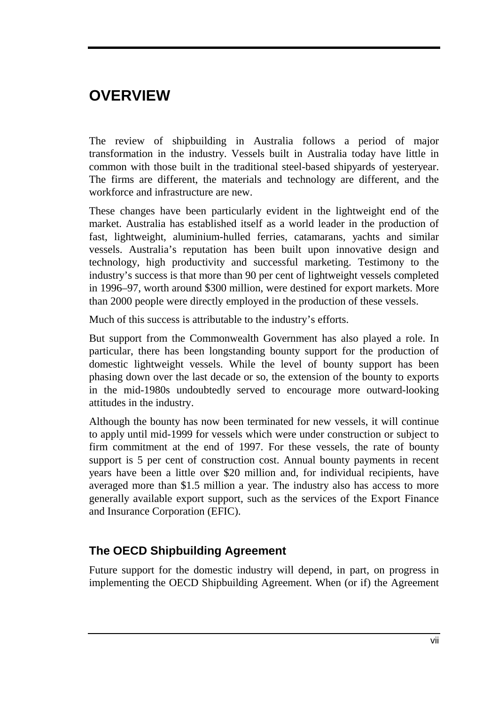# **OVERVIEW**

The review of shipbuilding in Australia follows a period of major transformation in the industry. Vessels built in Australia today have little in common with those built in the traditional steel-based shipyards of yesteryear. The firms are different, the materials and technology are different, and the workforce and infrastructure are new.

These changes have been particularly evident in the lightweight end of the market. Australia has established itself as a world leader in the production of fast, lightweight, aluminium-hulled ferries, catamarans, yachts and similar vessels. Australia's reputation has been built upon innovative design and technology, high productivity and successful marketing. Testimony to the industry's success is that more than 90 per cent of lightweight vessels completed in 1996–97, worth around \$300 million, were destined for export markets. More than 2000 people were directly employed in the production of these vessels.

Much of this success is attributable to the industry's efforts.

But support from the Commonwealth Government has also played a role. In particular, there has been longstanding bounty support for the production of domestic lightweight vessels. While the level of bounty support has been phasing down over the last decade or so, the extension of the bounty to exports in the mid-1980s undoubtedly served to encourage more outward-looking attitudes in the industry.

Although the bounty has now been terminated for new vessels, it will continue to apply until mid-1999 for vessels which were under construction or subject to firm commitment at the end of 1997. For these vessels, the rate of bounty support is 5 per cent of construction cost. Annual bounty payments in recent years have been a little over \$20 million and, for individual recipients, have averaged more than \$1.5 million a year. The industry also has access to more generally available export support, such as the services of the Export Finance and Insurance Corporation (EFIC).

# **The OECD Shipbuilding Agreement**

Future support for the domestic industry will depend, in part, on progress in implementing the OECD Shipbuilding Agreement. When (or if) the Agreement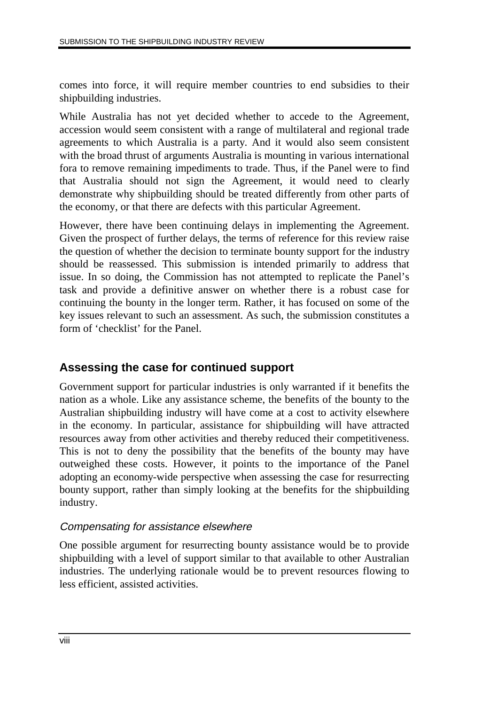comes into force, it will require member countries to end subsidies to their shipbuilding industries.

While Australia has not yet decided whether to accede to the Agreement, accession would seem consistent with a range of multilateral and regional trade agreements to which Australia is a party. And it would also seem consistent with the broad thrust of arguments Australia is mounting in various international fora to remove remaining impediments to trade. Thus, if the Panel were to find that Australia should not sign the Agreement, it would need to clearly demonstrate why shipbuilding should be treated differently from other parts of the economy, or that there are defects with this particular Agreement.

However, there have been continuing delays in implementing the Agreement. Given the prospect of further delays, the terms of reference for this review raise the question of whether the decision to terminate bounty support for the industry should be reassessed. This submission is intended primarily to address that issue. In so doing, the Commission has not attempted to replicate the Panel's task and provide a definitive answer on whether there is a robust case for continuing the bounty in the longer term. Rather, it has focused on some of the key issues relevant to such an assessment. As such, the submission constitutes a form of 'checklist' for the Panel.

# **Assessing the case for continued support**

Government support for particular industries is only warranted if it benefits the nation as a whole. Like any assistance scheme, the benefits of the bounty to the Australian shipbuilding industry will have come at a cost to activity elsewhere in the economy. In particular, assistance for shipbuilding will have attracted resources away from other activities and thereby reduced their competitiveness. This is not to deny the possibility that the benefits of the bounty may have outweighed these costs. However, it points to the importance of the Panel adopting an economy-wide perspective when assessing the case for resurrecting bounty support, rather than simply looking at the benefits for the shipbuilding industry.

#### Compensating for assistance elsewhere

One possible argument for resurrecting bounty assistance would be to provide shipbuilding with a level of support similar to that available to other Australian industries. The underlying rationale would be to prevent resources flowing to less efficient, assisted activities.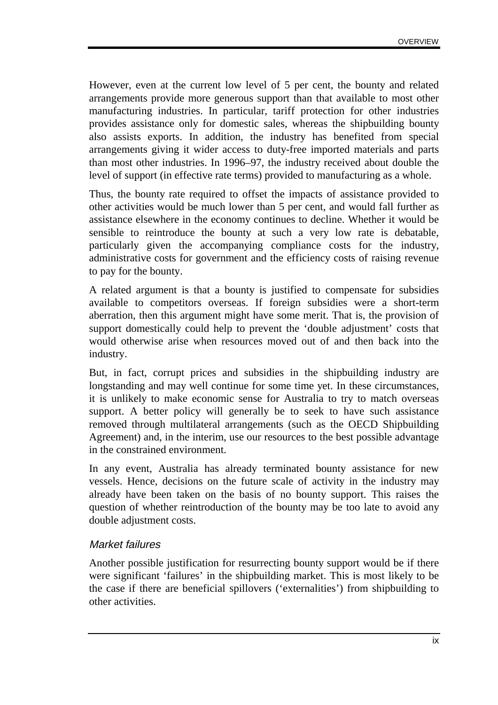However, even at the current low level of 5 per cent, the bounty and related arrangements provide more generous support than that available to most other manufacturing industries. In particular, tariff protection for other industries provides assistance only for domestic sales, whereas the shipbuilding bounty also assists exports. In addition, the industry has benefited from special arrangements giving it wider access to duty-free imported materials and parts than most other industries. In 1996–97, the industry received about double the level of support (in effective rate terms) provided to manufacturing as a whole.

Thus, the bounty rate required to offset the impacts of assistance provided to other activities would be much lower than 5 per cent, and would fall further as assistance elsewhere in the economy continues to decline. Whether it would be sensible to reintroduce the bounty at such a very low rate is debatable, particularly given the accompanying compliance costs for the industry, administrative costs for government and the efficiency costs of raising revenue to pay for the bounty.

A related argument is that a bounty is justified to compensate for subsidies available to competitors overseas. If foreign subsidies were a short-term aberration, then this argument might have some merit. That is, the provision of support domestically could help to prevent the 'double adjustment' costs that would otherwise arise when resources moved out of and then back into the industry.

But, in fact, corrupt prices and subsidies in the shipbuilding industry are longstanding and may well continue for some time yet. In these circumstances, it is unlikely to make economic sense for Australia to try to match overseas support. A better policy will generally be to seek to have such assistance removed through multilateral arrangements (such as the OECD Shipbuilding Agreement) and, in the interim, use our resources to the best possible advantage in the constrained environment.

In any event, Australia has already terminated bounty assistance for new vessels. Hence, decisions on the future scale of activity in the industry may already have been taken on the basis of no bounty support. This raises the question of whether reintroduction of the bounty may be too late to avoid any double adjustment costs.

#### Market failures

Another possible justification for resurrecting bounty support would be if there were significant 'failures' in the shipbuilding market. This is most likely to be the case if there are beneficial spillovers ('externalities') from shipbuilding to other activities.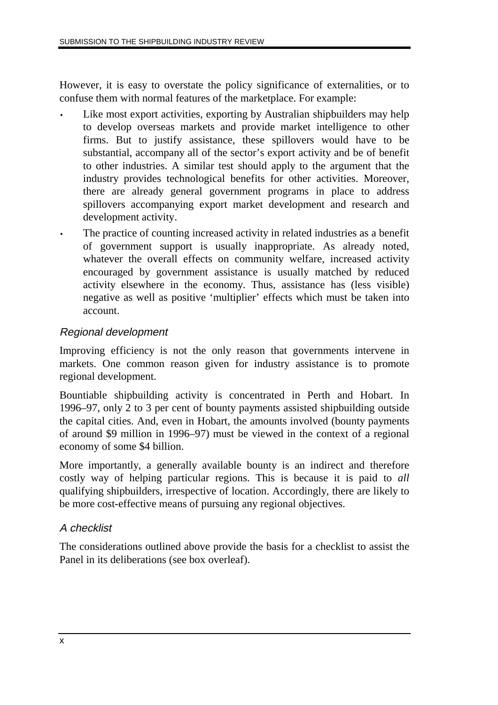However, it is easy to overstate the policy significance of externalities, or to confuse them with normal features of the marketplace. For example:

- Like most export activities, exporting by Australian shipbuilders may help to develop overseas markets and provide market intelligence to other firms. But to justify assistance, these spillovers would have to be substantial, accompany all of the sector's export activity and be of benefit to other industries. A similar test should apply to the argument that the industry provides technological benefits for other activities. Moreover, there are already general government programs in place to address spillovers accompanying export market development and research and development activity.
- The practice of counting increased activity in related industries as a benefit of government support is usually inappropriate. As already noted, whatever the overall effects on community welfare, increased activity encouraged by government assistance is usually matched by reduced activity elsewhere in the economy. Thus, assistance has (less visible) negative as well as positive 'multiplier' effects which must be taken into account.

#### Regional development

Improving efficiency is not the only reason that governments intervene in markets. One common reason given for industry assistance is to promote regional development.

Bountiable shipbuilding activity is concentrated in Perth and Hobart. In 1996–97, only 2 to 3 per cent of bounty payments assisted shipbuilding outside the capital cities. And, even in Hobart, the amounts involved (bounty payments of around \$9 million in 1996–97) must be viewed in the context of a regional economy of some \$4 billion.

More importantly, a generally available bounty is an indirect and therefore costly way of helping particular regions. This is because it is paid to *all* qualifying shipbuilders, irrespective of location. Accordingly, there are likely to be more cost-effective means of pursuing any regional objectives.

#### A checklist

The considerations outlined above provide the basis for a checklist to assist the Panel in its deliberations (see box overleaf).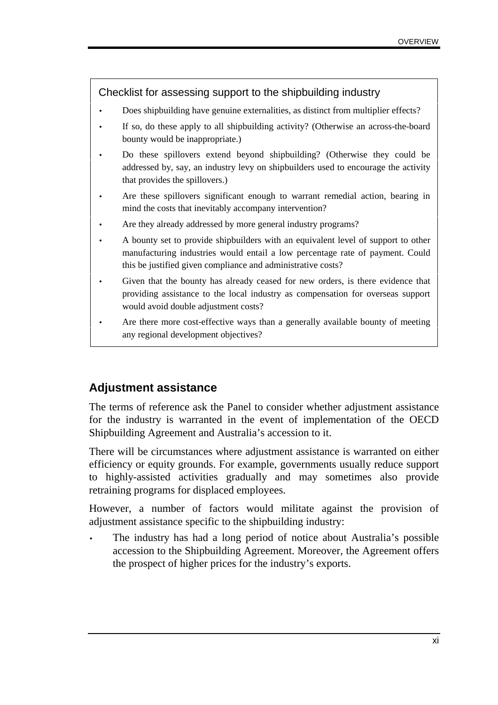#### Checklist for assessing support to the shipbuilding industry

- Does shipbuilding have genuine externalities, as distinct from multiplier effects?
- If so, do these apply to all shipbuilding activity? (Otherwise an across-the-board bounty would be inappropriate.)
- Do these spillovers extend beyond shipbuilding? (Otherwise they could be addressed by, say, an industry levy on shipbuilders used to encourage the activity that provides the spillovers.)
- Are these spillovers significant enough to warrant remedial action, bearing in mind the costs that inevitably accompany intervention?
- Are they already addressed by more general industry programs?
- A bounty set to provide shipbuilders with an equivalent level of support to other manufacturing industries would entail a low percentage rate of payment. Could this be justified given compliance and administrative costs?
- Given that the bounty has already ceased for new orders, is there evidence that providing assistance to the local industry as compensation for overseas support would avoid double adjustment costs?
- Are there more cost-effective ways than a generally available bounty of meeting any regional development objectives?

### **Adjustment assistance**

The terms of reference ask the Panel to consider whether adjustment assistance for the industry is warranted in the event of implementation of the OECD Shipbuilding Agreement and Australia's accession to it.

There will be circumstances where adjustment assistance is warranted on either efficiency or equity grounds. For example, governments usually reduce support to highly-assisted activities gradually and may sometimes also provide retraining programs for displaced employees.

However, a number of factors would militate against the provision of adjustment assistance specific to the shipbuilding industry:

The industry has had a long period of notice about Australia's possible accession to the Shipbuilding Agreement. Moreover, the Agreement offers the prospect of higher prices for the industry's exports.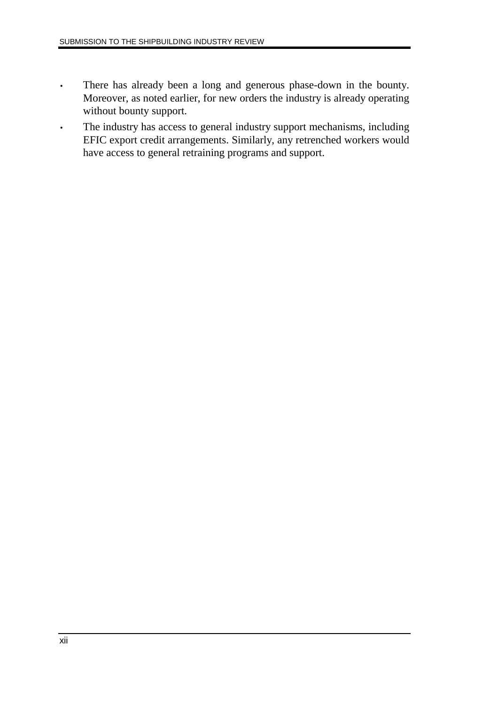- There has already been a long and generous phase-down in the bounty. Moreover, as noted earlier, for new orders the industry is already operating without bounty support.
- The industry has access to general industry support mechanisms, including EFIC export credit arrangements. Similarly, any retrenched workers would have access to general retraining programs and support.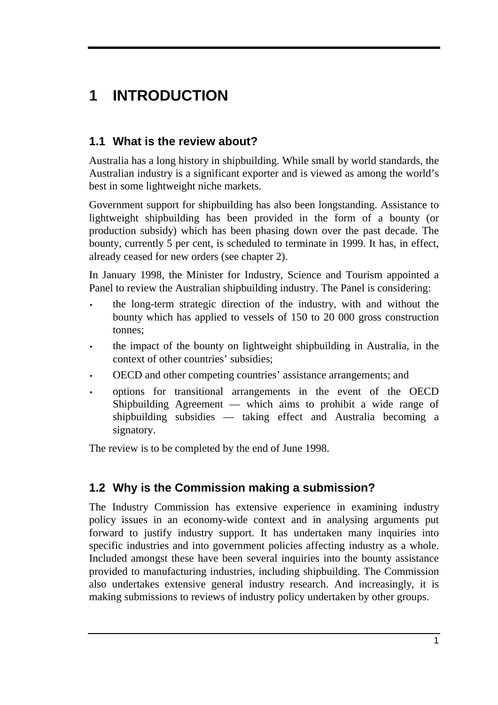# **1 INTRODUCTION**

# **1.1 What is the review about?**

Australia has a long history in shipbuilding. While small by world standards, the Australian industry is a significant exporter and is viewed as among the world's best in some lightweight niche markets.

Government support for shipbuilding has also been longstanding. Assistance to lightweight shipbuilding has been provided in the form of a bounty (or production subsidy) which has been phasing down over the past decade. The bounty, currently 5 per cent, is scheduled to terminate in 1999. It has, in effect, already ceased for new orders (see chapter 2).

In January 1998, the Minister for Industry, Science and Tourism appointed a Panel to review the Australian shipbuilding industry. The Panel is considering:

- the long-term strategic direction of the industry, with and without the bounty which has applied to vessels of 150 to 20 000 gross construction tonnes;
- the impact of the bounty on lightweight shipbuilding in Australia, in the context of other countries' subsidies;
- OECD and other competing countries' assistance arrangements; and
- options for transitional arrangements in the event of the OECD Shipbuilding Agreement — which aims to prohibit a wide range of shipbuilding subsidies — taking effect and Australia becoming a signatory.

The review is to be completed by the end of June 1998.

# **1.2 Why is the Commission making a submission?**

The Industry Commission has extensive experience in examining industry policy issues in an economy-wide context and in analysing arguments put forward to justify industry support. It has undertaken many inquiries into specific industries and into government policies affecting industry as a whole. Included amongst these have been several inquiries into the bounty assistance provided to manufacturing industries, including shipbuilding. The Commission also undertakes extensive general industry research. And increasingly, it is making submissions to reviews of industry policy undertaken by other groups.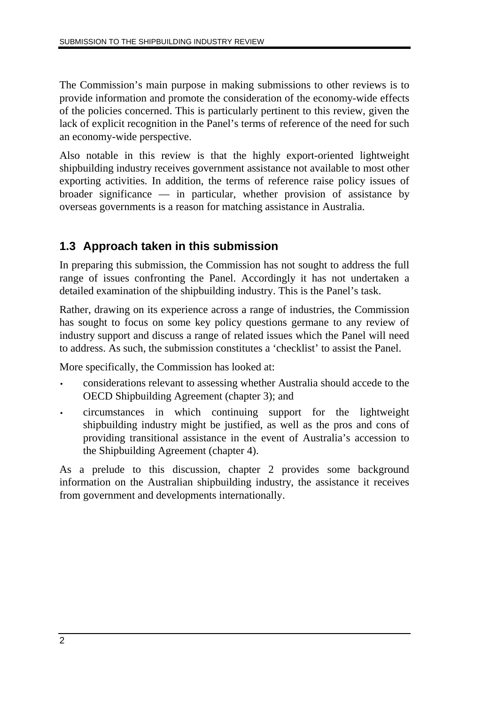The Commission's main purpose in making submissions to other reviews is to provide information and promote the consideration of the economy-wide effects of the policies concerned. This is particularly pertinent to this review, given the lack of explicit recognition in the Panel's terms of reference of the need for such an economy-wide perspective.

Also notable in this review is that the highly export-oriented lightweight shipbuilding industry receives government assistance not available to most other exporting activities. In addition, the terms of reference raise policy issues of broader significance — in particular, whether provision of assistance by overseas governments is a reason for matching assistance in Australia.

# **1.3 Approach taken in this submission**

In preparing this submission, the Commission has not sought to address the full range of issues confronting the Panel. Accordingly it has not undertaken a detailed examination of the shipbuilding industry. This is the Panel's task.

Rather, drawing on its experience across a range of industries, the Commission has sought to focus on some key policy questions germane to any review of industry support and discuss a range of related issues which the Panel will need to address. As such, the submission constitutes a 'checklist' to assist the Panel.

More specifically, the Commission has looked at:

- considerations relevant to assessing whether Australia should accede to the OECD Shipbuilding Agreement (chapter 3); and
- circumstances in which continuing support for the lightweight shipbuilding industry might be justified, as well as the pros and cons of providing transitional assistance in the event of Australia's accession to the Shipbuilding Agreement (chapter 4).

As a prelude to this discussion, chapter 2 provides some background information on the Australian shipbuilding industry, the assistance it receives from government and developments internationally.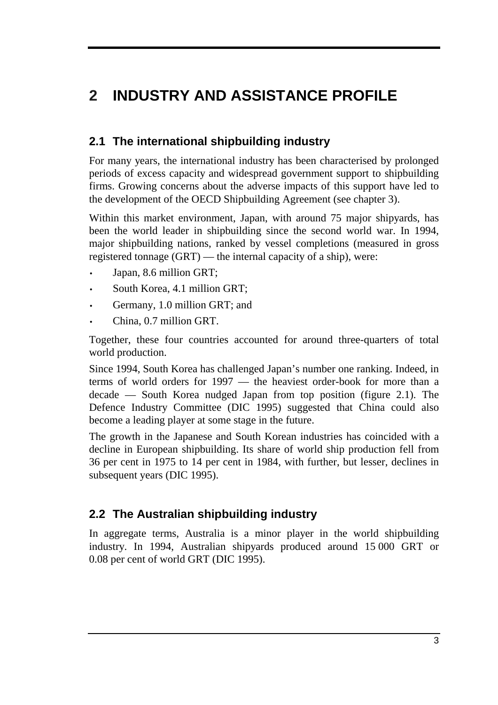# **2 INDUSTRY AND ASSISTANCE PROFILE**

# **2.1 The international shipbuilding industry**

For many years, the international industry has been characterised by prolonged periods of excess capacity and widespread government support to shipbuilding firms. Growing concerns about the adverse impacts of this support have led to the development of the OECD Shipbuilding Agreement (see chapter 3).

Within this market environment, Japan, with around 75 major shipyards, has been the world leader in shipbuilding since the second world war. In 1994, major shipbuilding nations, ranked by vessel completions (measured in gross registered tonnage (GRT) — the internal capacity of a ship), were:

- Japan, 8.6 million GRT;
- South Korea, 4.1 million GRT;
- Germany, 1.0 million GRT; and
- China, 0.7 million GRT.

Together, these four countries accounted for around three-quarters of total world production.

Since 1994, South Korea has challenged Japan's number one ranking. Indeed, in terms of world orders for 1997 — the heaviest order-book for more than a decade — South Korea nudged Japan from top position (figure 2.1). The Defence Industry Committee (DIC 1995) suggested that China could also become a leading player at some stage in the future.

The growth in the Japanese and South Korean industries has coincided with a decline in European shipbuilding. Its share of world ship production fell from 36 per cent in 1975 to 14 per cent in 1984, with further, but lesser, declines in subsequent years (DIC 1995).

### **2.2 The Australian shipbuilding industry**

In aggregate terms, Australia is a minor player in the world shipbuilding industry. In 1994, Australian shipyards produced around 15 000 GRT or 0.08 per cent of world GRT (DIC 1995).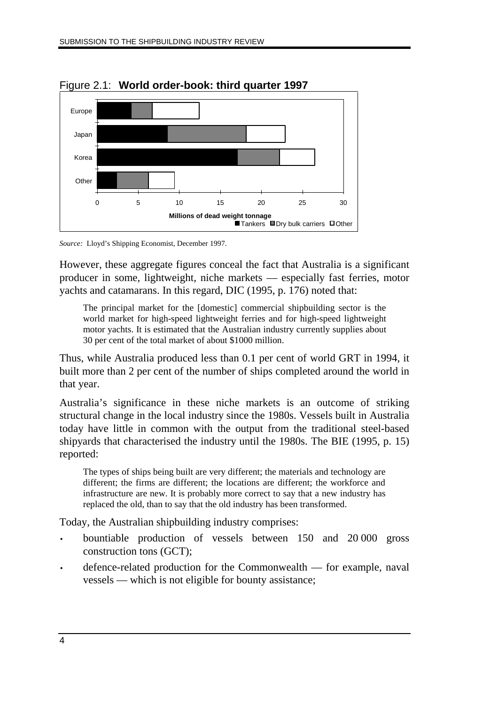

Figure 2.1: **World order-book: third quarter 1997**

*Source:* Lloyd's Shipping Economist, December 1997.

However, these aggregate figures conceal the fact that Australia is a significant producer in some, lightweight, niche markets — especially fast ferries, motor yachts and catamarans. In this regard, DIC (1995, p. 176) noted that:

The principal market for the [domestic] commercial shipbuilding sector is the world market for high-speed lightweight ferries and for high-speed lightweight motor yachts. It is estimated that the Australian industry currently supplies about 30 per cent of the total market of about \$1000 million.

Thus, while Australia produced less than 0.1 per cent of world GRT in 1994, it built more than 2 per cent of the number of ships completed around the world in that year.

Australia's significance in these niche markets is an outcome of striking structural change in the local industry since the 1980s. Vessels built in Australia today have little in common with the output from the traditional steel-based shipyards that characterised the industry until the 1980s. The BIE (1995, p. 15) reported:

The types of ships being built are very different; the materials and technology are different; the firms are different; the locations are different; the workforce and infrastructure are new. It is probably more correct to say that a new industry has replaced the old, than to say that the old industry has been transformed.

Today, the Australian shipbuilding industry comprises:

- bountiable production of vessels between 150 and 20 000 gross construction tons (GCT);
- defence-related production for the Commonwealth for example, naval vessels — which is not eligible for bounty assistance;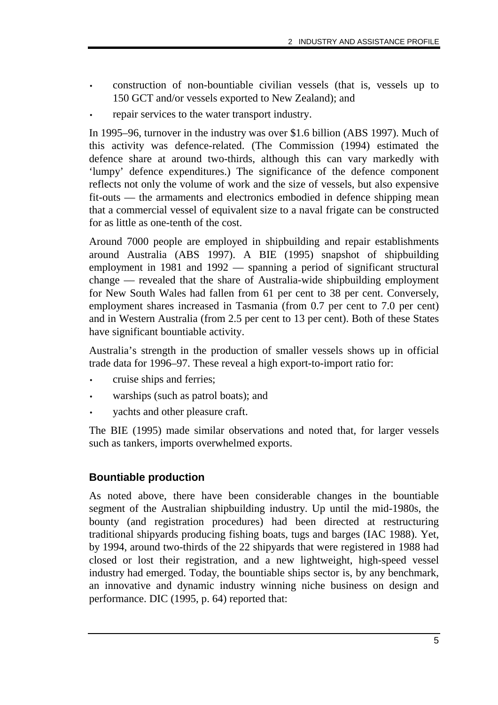- construction of non-bountiable civilian vessels (that is, vessels up to 150 GCT and/or vessels exported to New Zealand); and
- repair services to the water transport industry.

In 1995–96, turnover in the industry was over \$1.6 billion (ABS 1997). Much of this activity was defence-related. (The Commission (1994) estimated the defence share at around two-thirds, although this can vary markedly with 'lumpy' defence expenditures.) The significance of the defence component reflects not only the volume of work and the size of vessels, but also expensive fit-outs — the armaments and electronics embodied in defence shipping mean that a commercial vessel of equivalent size to a naval frigate can be constructed for as little as one-tenth of the cost.

Around 7000 people are employed in shipbuilding and repair establishments around Australia (ABS 1997). A BIE (1995) snapshot of shipbuilding employment in 1981 and 1992 — spanning a period of significant structural change — revealed that the share of Australia-wide shipbuilding employment for New South Wales had fallen from 61 per cent to 38 per cent. Conversely, employment shares increased in Tasmania (from 0.7 per cent to 7.0 per cent) and in Western Australia (from 2.5 per cent to 13 per cent). Both of these States have significant bountiable activity.

Australia's strength in the production of smaller vessels shows up in official trade data for 1996–97. These reveal a high export-to-import ratio for:

- cruise ships and ferries;
- warships (such as patrol boats); and
- yachts and other pleasure craft.

The BIE (1995) made similar observations and noted that, for larger vessels such as tankers, imports overwhelmed exports.

#### **Bountiable production**

As noted above, there have been considerable changes in the bountiable segment of the Australian shipbuilding industry. Up until the mid-1980s, the bounty (and registration procedures) had been directed at restructuring traditional shipyards producing fishing boats, tugs and barges (IAC 1988). Yet, by 1994, around two-thirds of the 22 shipyards that were registered in 1988 had closed or lost their registration, and a new lightweight, high-speed vessel industry had emerged. Today, the bountiable ships sector is, by any benchmark, an innovative and dynamic industry winning niche business on design and performance. DIC (1995, p. 64) reported that: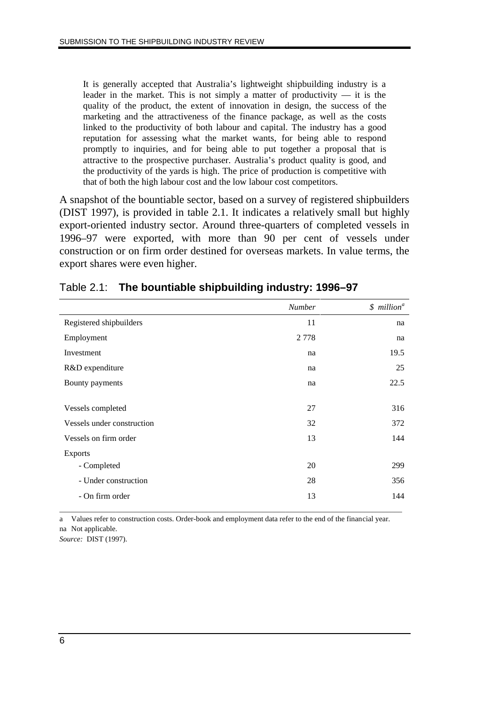It is generally accepted that Australia's lightweight shipbuilding industry is a leader in the market. This is not simply a matter of productivity  $-$  it is the quality of the product, the extent of innovation in design, the success of the marketing and the attractiveness of the finance package, as well as the costs linked to the productivity of both labour and capital. The industry has a good reputation for assessing what the market wants, for being able to respond promptly to inquiries, and for being able to put together a proposal that is attractive to the prospective purchaser. Australia's product quality is good, and the productivity of the yards is high. The price of production is competitive with that of both the high labour cost and the low labour cost competitors.

A snapshot of the bountiable sector, based on a survey of registered shipbuilders (DIST 1997), is provided in table 2.1. It indicates a relatively small but highly export-oriented industry sector. Around three-quarters of completed vessels in 1996–97 were exported, with more than 90 per cent of vessels under construction or on firm order destined for overseas markets. In value terms, the export shares were even higher.

|                            | <b>Number</b> | \$ million <sup>a</sup> |
|----------------------------|---------------|-------------------------|
| Registered shipbuilders    | 11            | na                      |
| Employment                 | 2 7 7 8       | na                      |
| Investment                 | na            | 19.5                    |
| R&D expenditure            | na            | 25                      |
| Bounty payments            | na            | 22.5                    |
|                            |               |                         |
| Vessels completed          | 27            | 316                     |
| Vessels under construction | 32            | 372                     |
| Vessels on firm order      | 13            | 144                     |
| <b>Exports</b>             |               |                         |
| - Completed                | 20            | 299                     |
| - Under construction       | 28            | 356                     |
| - On firm order            | 13            | 144                     |
|                            |               |                         |

#### Table 2.1: **The bountiable shipbuilding industry: 1996–97**

a Values refer to construction costs. Order-book and employment data refer to the end of the financial year. na Not applicable.

*Source:* DIST (1997).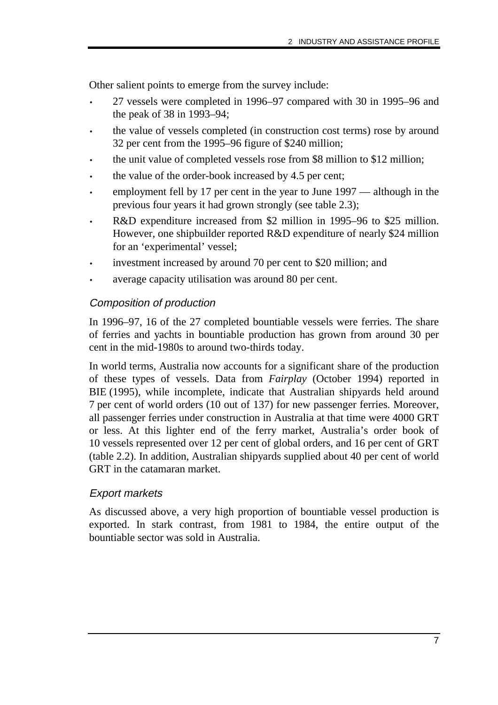Other salient points to emerge from the survey include:

- 27 vessels were completed in 1996–97 compared with 30 in 1995–96 and the peak of 38 in 1993–94;
- the value of vessels completed (in construction cost terms) rose by around 32 per cent from the 1995–96 figure of \$240 million;
- the unit value of completed vessels rose from \$8 million to \$12 million;
- the value of the order-book increased by 4.5 per cent;
- employment fell by 17 per cent in the year to June 1997 although in the previous four years it had grown strongly (see table 2.3);
- R&D expenditure increased from \$2 million in 1995–96 to \$25 million. However, one shipbuilder reported R&D expenditure of nearly \$24 million for an 'experimental' vessel;
- investment increased by around 70 per cent to \$20 million; and
- average capacity utilisation was around 80 per cent.

#### Composition of production

In 1996–97, 16 of the 27 completed bountiable vessels were ferries. The share of ferries and yachts in bountiable production has grown from around 30 per cent in the mid-1980s to around two-thirds today.

In world terms, Australia now accounts for a significant share of the production of these types of vessels. Data from *Fairplay* (October 1994) reported in BIE (1995), while incomplete, indicate that Australian shipyards held around 7 per cent of world orders (10 out of 137) for new passenger ferries. Moreover, all passenger ferries under construction in Australia at that time were 4000 GRT or less. At this lighter end of the ferry market, Australia's order book of 10 vessels represented over 12 per cent of global orders, and 16 per cent of GRT (table 2.2). In addition, Australian shipyards supplied about 40 per cent of world GRT in the catamaran market.

#### Export markets

As discussed above, a very high proportion of bountiable vessel production is exported. In stark contrast, from 1981 to 1984, the entire output of the bountiable sector was sold in Australia.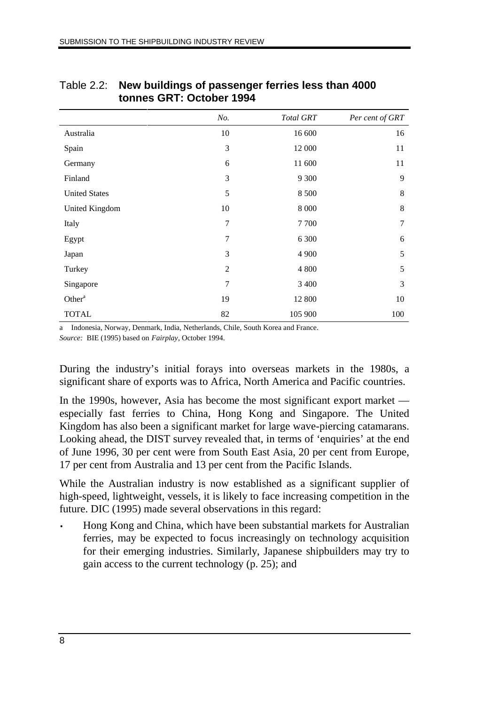|                      | No.            | <b>Total GRT</b> | Per cent of GRT |
|----------------------|----------------|------------------|-----------------|
| Australia            | 10             | 16 600           | 16              |
| Spain                | 3              | 12 000           | 11              |
| Germany              | 6              | 11 600           | 11              |
| Finland              | 3              | 9 3 0 0          | 9               |
| <b>United States</b> | 5              | 8 500            | 8               |
| United Kingdom       | 10             | 8 0 0 0          | 8               |
| Italy                | $\overline{7}$ | 7700             | 7               |
| Egypt                | 7              | 6 300            | 6               |
| Japan                | 3              | 4 9 0 0          | 5               |
| Turkey               | $\overline{2}$ | 4 8 0 0          | 5               |
| Singapore            | $\tau$         | 3 400            | 3               |
| Other <sup>a</sup>   | 19             | 12 800           | 10              |
| <b>TOTAL</b>         | 82             | 105 900          | 100             |

#### Table 2.2: **New buildings of passenger ferries less than 4000 tonnes GRT: October 1994**

a Indonesia, Norway, Denmark, India, Netherlands, Chile, South Korea and France. *Source:* BIE (1995) based on *Fairplay*, October 1994.

During the industry's initial forays into overseas markets in the 1980s, a significant share of exports was to Africa, North America and Pacific countries.

In the 1990s, however, Asia has become the most significant export market especially fast ferries to China, Hong Kong and Singapore. The United Kingdom has also been a significant market for large wave-piercing catamarans. Looking ahead, the DIST survey revealed that, in terms of 'enquiries' at the end of June 1996, 30 per cent were from South East Asia, 20 per cent from Europe, 17 per cent from Australia and 13 per cent from the Pacific Islands.

While the Australian industry is now established as a significant supplier of high-speed, lightweight, vessels, it is likely to face increasing competition in the future. DIC (1995) made several observations in this regard:

• Hong Kong and China, which have been substantial markets for Australian ferries, may be expected to focus increasingly on technology acquisition for their emerging industries. Similarly, Japanese shipbuilders may try to gain access to the current technology (p. 25); and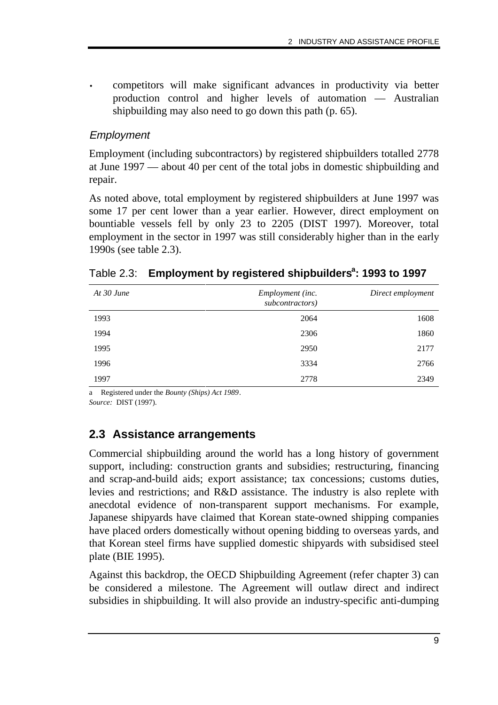• competitors will make significant advances in productivity via better production control and higher levels of automation — Australian shipbuilding may also need to go down this path (p. 65).

#### Employment

Employment (including subcontractors) by registered shipbuilders totalled 2778 at June 1997 — about 40 per cent of the total jobs in domestic shipbuilding and repair.

As noted above, total employment by registered shipbuilders at June 1997 was some 17 per cent lower than a year earlier. However, direct employment on bountiable vessels fell by only 23 to 2205 (DIST 1997). Moreover, total employment in the sector in 1997 was still considerably higher than in the early 1990s (see table 2.3).

| At $30$ June | Employment (inc.<br>subcontractors) | Direct employment |
|--------------|-------------------------------------|-------------------|
| 1993         | 2064                                | 1608              |
| 1994         | 2306                                | 1860              |
| 1995         | 2950                                | 2177              |
| 1996         | 3334                                | 2766              |
| 1997         | 2778                                | 2349              |

#### Table 2.3: Employment by registered shipbuilders<sup>a</sup>: 1993 to 1997

a Registered under the *Bounty (Ships) Act 1989*.

*Source:* DIST (1997).

### **2.3 Assistance arrangements**

Commercial shipbuilding around the world has a long history of government support, including: construction grants and subsidies; restructuring, financing and scrap-and-build aids; export assistance; tax concessions; customs duties, levies and restrictions; and R&D assistance. The industry is also replete with anecdotal evidence of non-transparent support mechanisms. For example, Japanese shipyards have claimed that Korean state-owned shipping companies have placed orders domestically without opening bidding to overseas yards, and that Korean steel firms have supplied domestic shipyards with subsidised steel plate (BIE 1995).

Against this backdrop, the OECD Shipbuilding Agreement (refer chapter 3) can be considered a milestone. The Agreement will outlaw direct and indirect subsidies in shipbuilding. It will also provide an industry-specific anti-dumping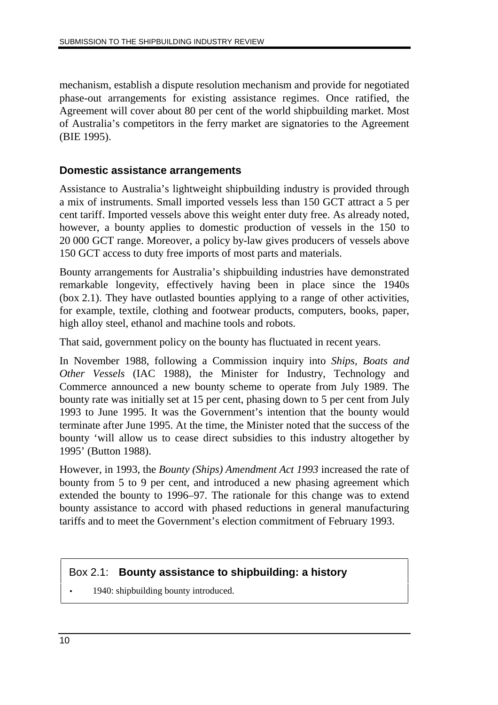mechanism, establish a dispute resolution mechanism and provide for negotiated phase-out arrangements for existing assistance regimes. Once ratified, the Agreement will cover about 80 per cent of the world shipbuilding market. Most of Australia's competitors in the ferry market are signatories to the Agreement (BIE 1995).

#### **Domestic assistance arrangements**

Assistance to Australia's lightweight shipbuilding industry is provided through a mix of instruments. Small imported vessels less than 150 GCT attract a 5 per cent tariff. Imported vessels above this weight enter duty free. As already noted, however, a bounty applies to domestic production of vessels in the 150 to 20 000 GCT range. Moreover, a policy by-law gives producers of vessels above 150 GCT access to duty free imports of most parts and materials.

Bounty arrangements for Australia's shipbuilding industries have demonstrated remarkable longevity, effectively having been in place since the 1940s (box 2.1). They have outlasted bounties applying to a range of other activities, for example, textile, clothing and footwear products, computers, books, paper, high alloy steel, ethanol and machine tools and robots.

That said, government policy on the bounty has fluctuated in recent years.

In November 1988, following a Commission inquiry into *Ships, Boats and Other Vessels* (IAC 1988), the Minister for Industry, Technology and Commerce announced a new bounty scheme to operate from July 1989. The bounty rate was initially set at 15 per cent, phasing down to 5 per cent from July 1993 to June 1995. It was the Government's intention that the bounty would terminate after June 1995. At the time, the Minister noted that the success of the bounty 'will allow us to cease direct subsidies to this industry altogether by 1995' (Button 1988).

However, in 1993, the *Bounty (Ships) Amendment Act 1993* increased the rate of bounty from 5 to 9 per cent, and introduced a new phasing agreement which extended the bounty to 1996–97. The rationale for this change was to extend bounty assistance to accord with phased reductions in general manufacturing tariffs and to meet the Government's election commitment of February 1993.

#### Box 2.1: **Bounty assistance to shipbuilding: a history**

1940: shipbuilding bounty introduced.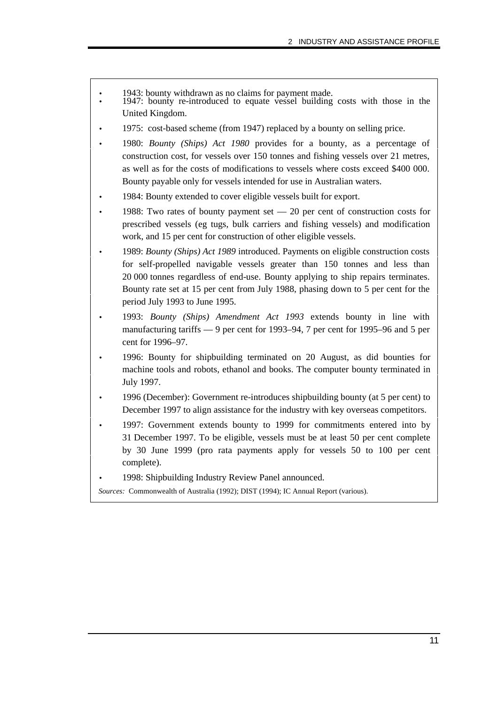- 1943: bounty withdrawn as no claims for payment made.
- 1947: bounty re-introduced to equate vessel building costs with those in the United Kingdom.
- 1975: cost-based scheme (from 1947) replaced by a bounty on selling price.
- 1980: *Bounty (Ships) Act 1980* provides for a bounty, as a percentage of construction cost, for vessels over 150 tonnes and fishing vessels over 21 metres, as well as for the costs of modifications to vessels where costs exceed \$400 000. Bounty payable only for vessels intended for use in Australian waters.
- 1984: Bounty extended to cover eligible vessels built for export.
- $\bullet$  1988: Two rates of bounty payment set  $-20$  per cent of construction costs for prescribed vessels (eg tugs, bulk carriers and fishing vessels) and modification work, and 15 per cent for construction of other eligible vessels.
- 1989: *Bounty (Ships) Act 1989* introduced. Payments on eligible construction costs for self-propelled navigable vessels greater than 150 tonnes and less than 20 000 tonnes regardless of end-use. Bounty applying to ship repairs terminates. Bounty rate set at 15 per cent from July 1988, phasing down to 5 per cent for the period July 1993 to June 1995.
- 1993: *Bounty (Ships) Amendment Act 1993* extends bounty in line with manufacturing tariffs — 9 per cent for 1993–94, 7 per cent for 1995–96 and 5 per cent for 1996–97.
- 1996: Bounty for shipbuilding terminated on 20 August, as did bounties for machine tools and robots, ethanol and books. The computer bounty terminated in July 1997.
- 1996 (December): Government re-introduces shipbuilding bounty (at 5 per cent) to December 1997 to align assistance for the industry with key overseas competitors.
- 1997: Government extends bounty to 1999 for commitments entered into by 31 December 1997. To be eligible, vessels must be at least 50 per cent complete by 30 June 1999 (pro rata payments apply for vessels 50 to 100 per cent complete).
- 1998: Shipbuilding Industry Review Panel announced.

*Sources:* Commonwealth of Australia (1992); DIST (1994); IC Annual Report (various).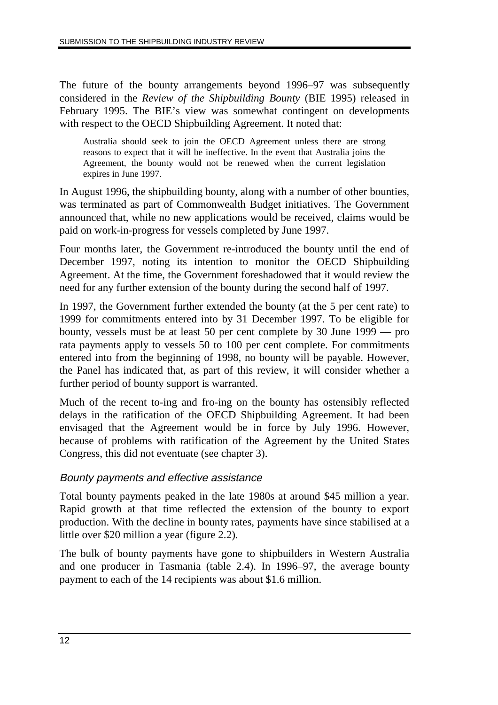The future of the bounty arrangements beyond 1996–97 was subsequently considered in the *Review of the Shipbuilding Bounty* (BIE 1995) released in February 1995. The BIE's view was somewhat contingent on developments with respect to the OECD Shipbuilding Agreement. It noted that:

Australia should seek to join the OECD Agreement unless there are strong reasons to expect that it will be ineffective. In the event that Australia joins the Agreement, the bounty would not be renewed when the current legislation expires in June 1997.

In August 1996, the shipbuilding bounty, along with a number of other bounties, was terminated as part of Commonwealth Budget initiatives. The Government announced that, while no new applications would be received, claims would be paid on work-in-progress for vessels completed by June 1997.

Four months later, the Government re-introduced the bounty until the end of December 1997, noting its intention to monitor the OECD Shipbuilding Agreement. At the time, the Government foreshadowed that it would review the need for any further extension of the bounty during the second half of 1997.

In 1997, the Government further extended the bounty (at the 5 per cent rate) to 1999 for commitments entered into by 31 December 1997. To be eligible for bounty, vessels must be at least 50 per cent complete by 30 June 1999 — pro rata payments apply to vessels 50 to 100 per cent complete. For commitments entered into from the beginning of 1998, no bounty will be payable. However, the Panel has indicated that, as part of this review, it will consider whether a further period of bounty support is warranted.

Much of the recent to-ing and fro-ing on the bounty has ostensibly reflected delays in the ratification of the OECD Shipbuilding Agreement. It had been envisaged that the Agreement would be in force by July 1996. However, because of problems with ratification of the Agreement by the United States Congress, this did not eventuate (see chapter 3).

#### Bounty payments and effective assistance

Total bounty payments peaked in the late 1980s at around \$45 million a year. Rapid growth at that time reflected the extension of the bounty to export production. With the decline in bounty rates, payments have since stabilised at a little over \$20 million a year (figure 2.2).

The bulk of bounty payments have gone to shipbuilders in Western Australia and one producer in Tasmania (table 2.4). In 1996–97, the average bounty payment to each of the 14 recipients was about \$1.6 million.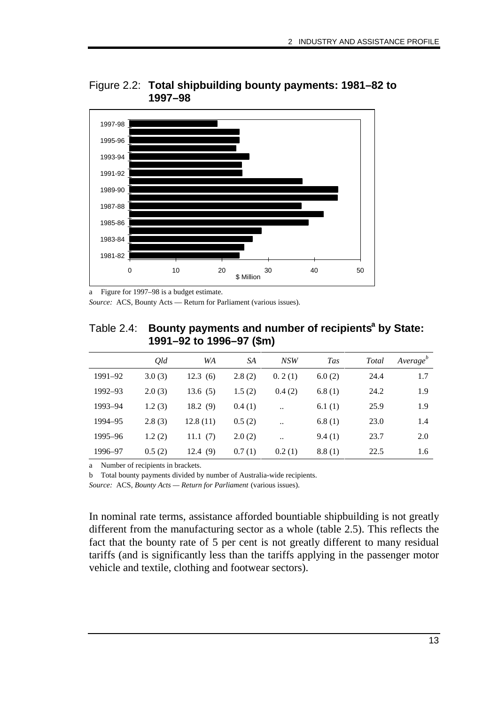

Figure 2.2: **Total shipbuilding bounty payments: 1981–82 to 1997–98**

a Figure for 1997–98 is a budget estimate.

*Source:* ACS, Bounty Acts — Return for Parliament (various issues).

| Table 2.4: Bounty payments and number of recipients <sup>a</sup> by State: |
|----------------------------------------------------------------------------|
| 1991–92 to 1996–97 (\$m)                                                   |

|         | Old    | WA         | SA     | NSW                  | <b>Tas</b> | <b>Total</b> | Average <sup>b</sup> |
|---------|--------|------------|--------|----------------------|------------|--------------|----------------------|
| 1991-92 | 3.0(3) | 12.3(6)    | 2.8(2) | 0.2(1)               | 6.0(2)     | 24.4         | 1.7                  |
| 1992–93 | 2.0(3) | 13.6(5)    | 1.5(2) | 0.4(2)               | 6.8(1)     | 24.2         | 1.9                  |
| 1993–94 | 1.2(3) | 18.2(9)    | 0.4(1) | $\ddotsc$            | 6.1(1)     | 25.9         | 1.9                  |
| 1994–95 | 2.8(3) | 12.8(11)   | 0.5(2) | $\ddot{\phantom{0}}$ | 6.8(1)     | 23.0         | 1.4                  |
| 1995–96 | 1.2(2) | 11.1 $(7)$ | 2.0(2) | $\ddotsc$            | 9.4(1)     | 23.7         | 2.0                  |
| 1996–97 | 0.5(2) | 12.4(9)    | 0.7(1) | 0.2(1)               | 8.8(1)     | 22.5         | 1.6                  |

a Number of recipients in brackets.

b Total bounty payments divided by number of Australia-wide recipients.

*Source:* ACS, *Bounty Acts — Return for Parliament* (various issues).

In nominal rate terms, assistance afforded bountiable shipbuilding is not greatly different from the manufacturing sector as a whole (table 2.5). This reflects the fact that the bounty rate of 5 per cent is not greatly different to many residual tariffs (and is significantly less than the tariffs applying in the passenger motor vehicle and textile, clothing and footwear sectors).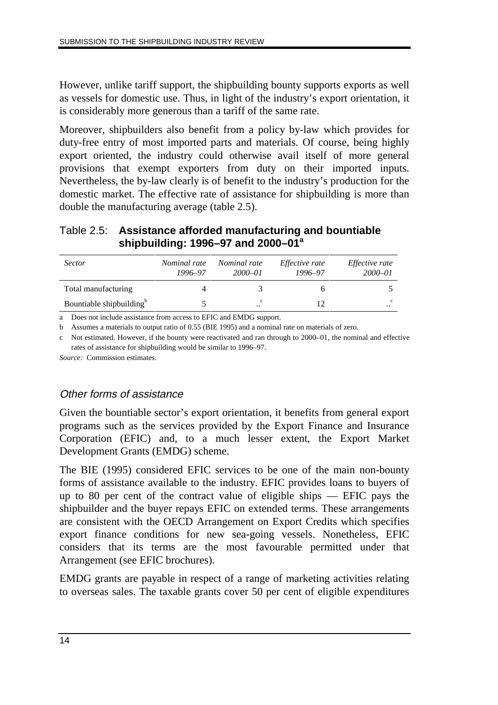However, unlike tariff support, the shipbuilding bounty supports exports as well as vessels for domestic use. Thus, in light of the industry's export orientation, it is considerably more generous than a tariff of the same rate.

Moreover, shipbuilders also benefit from a policy by-law which provides for duty-free entry of most imported parts and materials. Of course, being highly export oriented, the industry could otherwise avail itself of more general provisions that exempt exporters from duty on their imported inputs. Nevertheless, the by-law clearly is of benefit to the industry's production for the domestic market. The effective rate of assistance for shipbuilding is more than double the manufacturing average (table 2.5).

#### Table 2.5: **Assistance afforded manufacturing and bountiable shipbuilding: 1996–97 and 2000–01<sup>a</sup>**

| <i>Sector</i>                        | Nominal rate<br>1996-97 | <i>Nominal rate</i><br>$2000 - 01$ | <i>Effective rate</i><br>1996-97 | <i>Effective rate</i><br>2000-01 |
|--------------------------------------|-------------------------|------------------------------------|----------------------------------|----------------------------------|
| Total manufacturing                  |                         |                                    |                                  |                                  |
| Bountiable shipbuilding <sup>b</sup> |                         | c<br>$\cdot$ .                     |                                  | $\cdot \cdot$                    |

a Does not include assistance from access to EFIC and EMDG support.

b Assumes a materials to output ratio of 0.55 (BIE 1995) and a nominal rate on materials of zero.

c Not estimated. However, if the bounty were reactivated and ran through to 2000–01, the nominal and effective rates of assistance for shipbuilding would be similar to 1996–97.

*Source:* Commission estimates.

#### Other forms of assistance

Given the bountiable sector's export orientation, it benefits from general export programs such as the services provided by the Export Finance and Insurance Corporation (EFIC) and, to a much lesser extent, the Export Market Development Grants (EMDG) scheme.

The BIE (1995) considered EFIC services to be one of the main non-bounty forms of assistance available to the industry. EFIC provides loans to buyers of up to 80 per cent of the contract value of eligible ships — EFIC pays the shipbuilder and the buyer repays EFIC on extended terms. These arrangements are consistent with the OECD Arrangement on Export Credits which specifies export finance conditions for new sea-going vessels. Nonetheless, EFIC considers that its terms are the most favourable permitted under that Arrangement (see EFIC brochures).

EMDG grants are payable in respect of a range of marketing activities relating to overseas sales. The taxable grants cover 50 per cent of eligible expenditures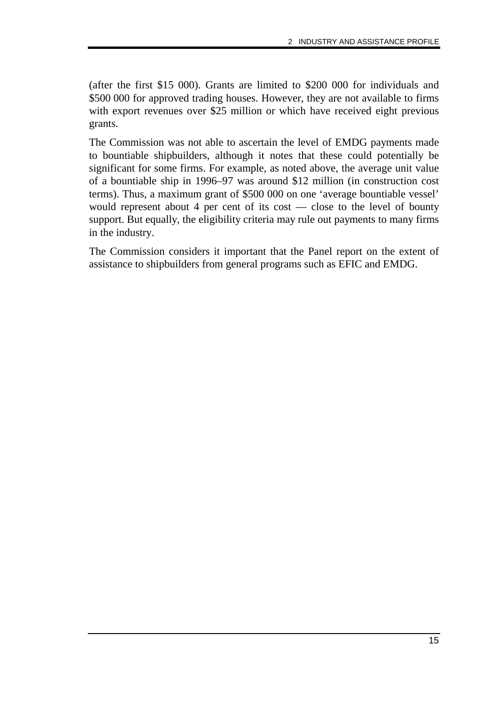(after the first \$15 000). Grants are limited to \$200 000 for individuals and \$500 000 for approved trading houses. However, they are not available to firms with export revenues over \$25 million or which have received eight previous grants.

The Commission was not able to ascertain the level of EMDG payments made to bountiable shipbuilders, although it notes that these could potentially be significant for some firms. For example, as noted above, the average unit value of a bountiable ship in 1996–97 was around \$12 million (in construction cost terms). Thus, a maximum grant of \$500 000 on one 'average bountiable vessel' would represent about 4 per cent of its cost — close to the level of bounty support. But equally, the eligibility criteria may rule out payments to many firms in the industry.

The Commission considers it important that the Panel report on the extent of assistance to shipbuilders from general programs such as EFIC and EMDG.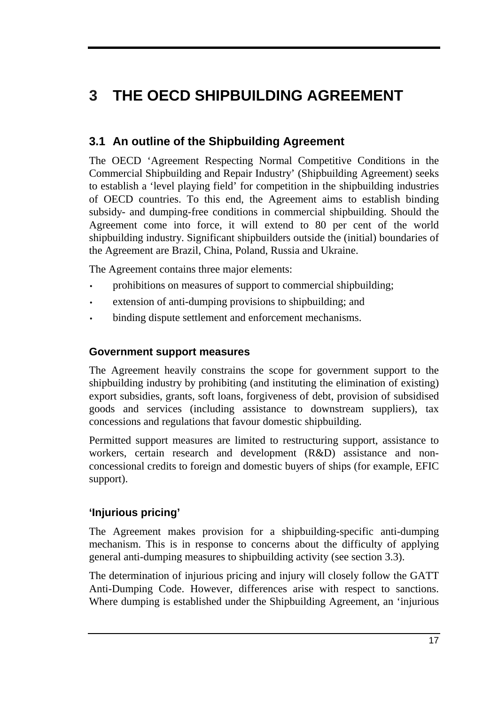# **3 THE OECD SHIPBUILDING AGREEMENT**

# **3.1 An outline of the Shipbuilding Agreement**

The OECD 'Agreement Respecting Normal Competitive Conditions in the Commercial Shipbuilding and Repair Industry' (Shipbuilding Agreement) seeks to establish a 'level playing field' for competition in the shipbuilding industries of OECD countries. To this end, the Agreement aims to establish binding subsidy- and dumping-free conditions in commercial shipbuilding. Should the Agreement come into force, it will extend to 80 per cent of the world shipbuilding industry. Significant shipbuilders outside the (initial) boundaries of the Agreement are Brazil, China, Poland, Russia and Ukraine.

The Agreement contains three major elements:

- prohibitions on measures of support to commercial shipbuilding;
- extension of anti-dumping provisions to shipbuilding; and
- binding dispute settlement and enforcement mechanisms.

#### **Government support measures**

The Agreement heavily constrains the scope for government support to the shipbuilding industry by prohibiting (and instituting the elimination of existing) export subsidies, grants, soft loans, forgiveness of debt, provision of subsidised goods and services (including assistance to downstream suppliers), tax concessions and regulations that favour domestic shipbuilding.

Permitted support measures are limited to restructuring support, assistance to workers, certain research and development (R&D) assistance and nonconcessional credits to foreign and domestic buyers of ships (for example, EFIC support).

#### **'Injurious pricing'**

The Agreement makes provision for a shipbuilding-specific anti-dumping mechanism. This is in response to concerns about the difficulty of applying general anti-dumping measures to shipbuilding activity (see section 3.3).

The determination of injurious pricing and injury will closely follow the GATT Anti-Dumping Code. However, differences arise with respect to sanctions. Where dumping is established under the Shipbuilding Agreement, an 'injurious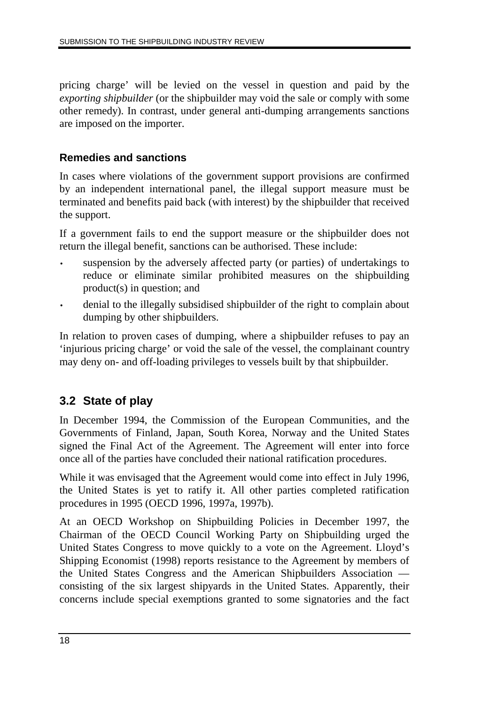pricing charge' will be levied on the vessel in question and paid by the *exporting shipbuilder* (or the shipbuilder may void the sale or comply with some other remedy). In contrast, under general anti-dumping arrangements sanctions are imposed on the importer.

#### **Remedies and sanctions**

In cases where violations of the government support provisions are confirmed by an independent international panel, the illegal support measure must be terminated and benefits paid back (with interest) by the shipbuilder that received the support.

If a government fails to end the support measure or the shipbuilder does not return the illegal benefit, sanctions can be authorised. These include:

- suspension by the adversely affected party (or parties) of undertakings to reduce or eliminate similar prohibited measures on the shipbuilding product(s) in question; and
- denial to the illegally subsidised shipbuilder of the right to complain about dumping by other shipbuilders.

In relation to proven cases of dumping, where a shipbuilder refuses to pay an 'injurious pricing charge' or void the sale of the vessel, the complainant country may deny on- and off-loading privileges to vessels built by that shipbuilder.

# **3.2 State of play**

In December 1994, the Commission of the European Communities, and the Governments of Finland, Japan, South Korea, Norway and the United States signed the Final Act of the Agreement. The Agreement will enter into force once all of the parties have concluded their national ratification procedures.

While it was envisaged that the Agreement would come into effect in July 1996, the United States is yet to ratify it. All other parties completed ratification procedures in 1995 (OECD 1996, 1997a, 1997b).

At an OECD Workshop on Shipbuilding Policies in December 1997, the Chairman of the OECD Council Working Party on Shipbuilding urged the United States Congress to move quickly to a vote on the Agreement. Lloyd's Shipping Economist (1998) reports resistance to the Agreement by members of the United States Congress and the American Shipbuilders Association consisting of the six largest shipyards in the United States. Apparently, their concerns include special exemptions granted to some signatories and the fact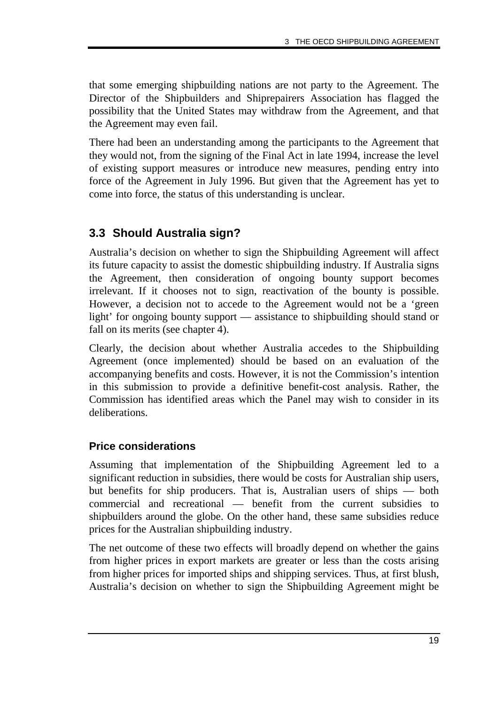that some emerging shipbuilding nations are not party to the Agreement. The Director of the Shipbuilders and Shiprepairers Association has flagged the possibility that the United States may withdraw from the Agreement, and that the Agreement may even fail.

There had been an understanding among the participants to the Agreement that they would not, from the signing of the Final Act in late 1994, increase the level of existing support measures or introduce new measures, pending entry into force of the Agreement in July 1996. But given that the Agreement has yet to come into force, the status of this understanding is unclear.

## **3.3 Should Australia sign?**

Australia's decision on whether to sign the Shipbuilding Agreement will affect its future capacity to assist the domestic shipbuilding industry. If Australia signs the Agreement, then consideration of ongoing bounty support becomes irrelevant. If it chooses not to sign, reactivation of the bounty is possible. However, a decision not to accede to the Agreement would not be a 'green light' for ongoing bounty support — assistance to shipbuilding should stand or fall on its merits (see chapter 4).

Clearly, the decision about whether Australia accedes to the Shipbuilding Agreement (once implemented) should be based on an evaluation of the accompanying benefits and costs. However, it is not the Commission's intention in this submission to provide a definitive benefit-cost analysis. Rather, the Commission has identified areas which the Panel may wish to consider in its deliberations.

#### **Price considerations**

Assuming that implementation of the Shipbuilding Agreement led to a significant reduction in subsidies, there would be costs for Australian ship users, but benefits for ship producers. That is, Australian users of ships — both commercial and recreational — benefit from the current subsidies to shipbuilders around the globe. On the other hand, these same subsidies reduce prices for the Australian shipbuilding industry.

The net outcome of these two effects will broadly depend on whether the gains from higher prices in export markets are greater or less than the costs arising from higher prices for imported ships and shipping services. Thus, at first blush, Australia's decision on whether to sign the Shipbuilding Agreement might be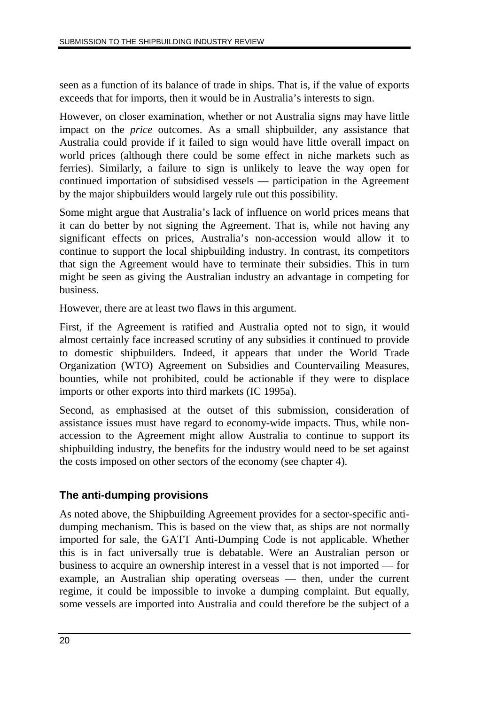seen as a function of its balance of trade in ships. That is, if the value of exports exceeds that for imports, then it would be in Australia's interests to sign.

However, on closer examination, whether or not Australia signs may have little impact on the *price* outcomes. As a small shipbuilder, any assistance that Australia could provide if it failed to sign would have little overall impact on world prices (although there could be some effect in niche markets such as ferries). Similarly, a failure to sign is unlikely to leave the way open for continued importation of subsidised vessels — participation in the Agreement by the major shipbuilders would largely rule out this possibility.

Some might argue that Australia's lack of influence on world prices means that it can do better by not signing the Agreement. That is, while not having any significant effects on prices, Australia's non-accession would allow it to continue to support the local shipbuilding industry. In contrast, its competitors that sign the Agreement would have to terminate their subsidies. This in turn might be seen as giving the Australian industry an advantage in competing for business.

However, there are at least two flaws in this argument.

First, if the Agreement is ratified and Australia opted not to sign, it would almost certainly face increased scrutiny of any subsidies it continued to provide to domestic shipbuilders. Indeed, it appears that under the World Trade Organization (WTO) Agreement on Subsidies and Countervailing Measures, bounties, while not prohibited, could be actionable if they were to displace imports or other exports into third markets (IC 1995a).

Second, as emphasised at the outset of this submission, consideration of assistance issues must have regard to economy-wide impacts. Thus, while nonaccession to the Agreement might allow Australia to continue to support its shipbuilding industry, the benefits for the industry would need to be set against the costs imposed on other sectors of the economy (see chapter 4).

### **The anti-dumping provisions**

As noted above, the Shipbuilding Agreement provides for a sector-specific antidumping mechanism. This is based on the view that, as ships are not normally imported for sale, the GATT Anti-Dumping Code is not applicable. Whether this is in fact universally true is debatable. Were an Australian person or business to acquire an ownership interest in a vessel that is not imported — for example, an Australian ship operating overseas — then, under the current regime, it could be impossible to invoke a dumping complaint. But equally, some vessels are imported into Australia and could therefore be the subject of a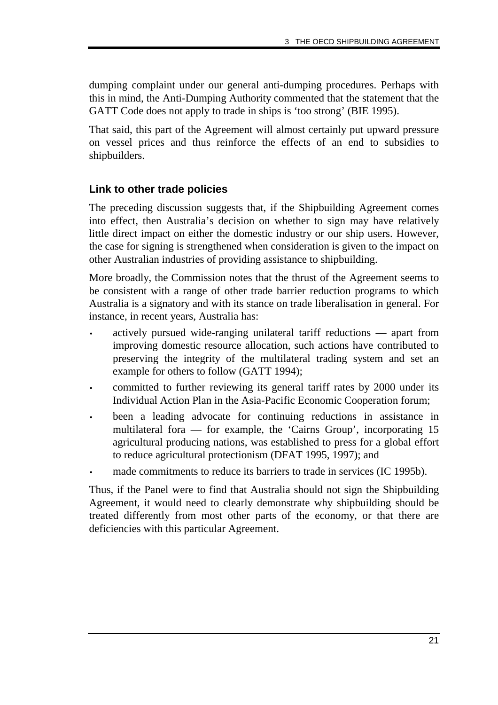dumping complaint under our general anti-dumping procedures. Perhaps with this in mind, the Anti-Dumping Authority commented that the statement that the GATT Code does not apply to trade in ships is 'too strong' (BIE 1995).

That said, this part of the Agreement will almost certainly put upward pressure on vessel prices and thus reinforce the effects of an end to subsidies to shipbuilders.

#### **Link to other trade policies**

The preceding discussion suggests that, if the Shipbuilding Agreement comes into effect, then Australia's decision on whether to sign may have relatively little direct impact on either the domestic industry or our ship users. However, the case for signing is strengthened when consideration is given to the impact on other Australian industries of providing assistance to shipbuilding.

More broadly, the Commission notes that the thrust of the Agreement seems to be consistent with a range of other trade barrier reduction programs to which Australia is a signatory and with its stance on trade liberalisation in general. For instance, in recent years, Australia has:

- actively pursued wide-ranging unilateral tariff reductions apart from improving domestic resource allocation, such actions have contributed to preserving the integrity of the multilateral trading system and set an example for others to follow (GATT 1994);
- committed to further reviewing its general tariff rates by 2000 under its Individual Action Plan in the Asia-Pacific Economic Cooperation forum;
- been a leading advocate for continuing reductions in assistance in multilateral fora — for example, the 'Cairns Group', incorporating 15 agricultural producing nations, was established to press for a global effort to reduce agricultural protectionism (DFAT 1995, 1997); and
- made commitments to reduce its barriers to trade in services (IC 1995b).

Thus, if the Panel were to find that Australia should not sign the Shipbuilding Agreement, it would need to clearly demonstrate why shipbuilding should be treated differently from most other parts of the economy, or that there are deficiencies with this particular Agreement.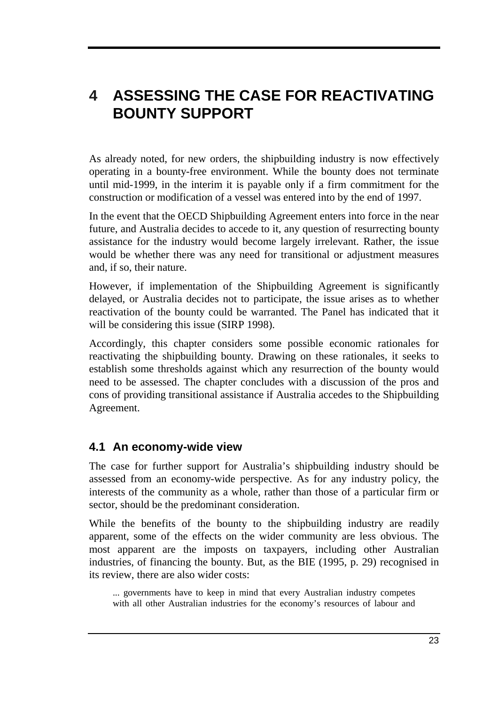# **4 ASSESSING THE CASE FOR REACTIVATING BOUNTY SUPPORT**

As already noted, for new orders, the shipbuilding industry is now effectively operating in a bounty-free environment. While the bounty does not terminate until mid-1999, in the interim it is payable only if a firm commitment for the construction or modification of a vessel was entered into by the end of 1997.

In the event that the OECD Shipbuilding Agreement enters into force in the near future, and Australia decides to accede to it, any question of resurrecting bounty assistance for the industry would become largely irrelevant. Rather, the issue would be whether there was any need for transitional or adjustment measures and, if so, their nature.

However, if implementation of the Shipbuilding Agreement is significantly delayed, or Australia decides not to participate, the issue arises as to whether reactivation of the bounty could be warranted. The Panel has indicated that it will be considering this issue (SIRP 1998).

Accordingly, this chapter considers some possible economic rationales for reactivating the shipbuilding bounty. Drawing on these rationales, it seeks to establish some thresholds against which any resurrection of the bounty would need to be assessed. The chapter concludes with a discussion of the pros and cons of providing transitional assistance if Australia accedes to the Shipbuilding Agreement.

### **4.1 An economy-wide view**

The case for further support for Australia's shipbuilding industry should be assessed from an economy-wide perspective. As for any industry policy, the interests of the community as a whole, rather than those of a particular firm or sector, should be the predominant consideration.

While the benefits of the bounty to the shipbuilding industry are readily apparent, some of the effects on the wider community are less obvious. The most apparent are the imposts on taxpayers, including other Australian industries, of financing the bounty. But, as the BIE (1995, p. 29) recognised in its review, there are also wider costs:

... governments have to keep in mind that every Australian industry competes with all other Australian industries for the economy's resources of labour and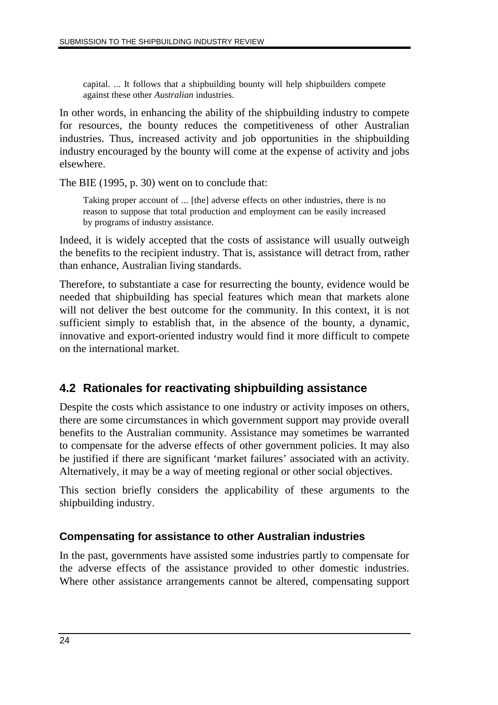capital. ... It follows that a shipbuilding bounty will help shipbuilders compete against these other *Australian* industries.

In other words, in enhancing the ability of the shipbuilding industry to compete for resources, the bounty reduces the competitiveness of other Australian industries. Thus, increased activity and job opportunities in the shipbuilding industry encouraged by the bounty will come at the expense of activity and jobs elsewhere.

The BIE (1995, p. 30) went on to conclude that:

Taking proper account of ... [the] adverse effects on other industries, there is no reason to suppose that total production and employment can be easily increased by programs of industry assistance.

Indeed, it is widely accepted that the costs of assistance will usually outweigh the benefits to the recipient industry. That is, assistance will detract from, rather than enhance, Australian living standards.

Therefore, to substantiate a case for resurrecting the bounty, evidence would be needed that shipbuilding has special features which mean that markets alone will not deliver the best outcome for the community. In this context, it is not sufficient simply to establish that, in the absence of the bounty, a dynamic, innovative and export-oriented industry would find it more difficult to compete on the international market.

# **4.2 Rationales for reactivating shipbuilding assistance**

Despite the costs which assistance to one industry or activity imposes on others, there are some circumstances in which government support may provide overall benefits to the Australian community. Assistance may sometimes be warranted to compensate for the adverse effects of other government policies. It may also be justified if there are significant 'market failures' associated with an activity. Alternatively, it may be a way of meeting regional or other social objectives.

This section briefly considers the applicability of these arguments to the shipbuilding industry.

### **Compensating for assistance to other Australian industries**

In the past, governments have assisted some industries partly to compensate for the adverse effects of the assistance provided to other domestic industries. Where other assistance arrangements cannot be altered, compensating support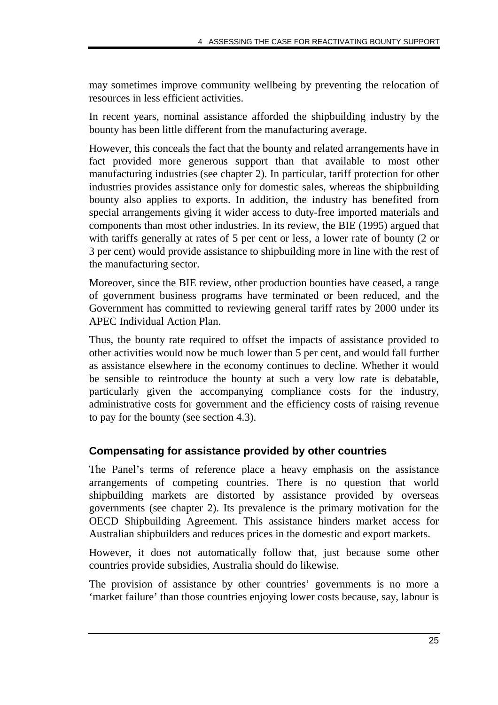may sometimes improve community wellbeing by preventing the relocation of resources in less efficient activities.

In recent years, nominal assistance afforded the shipbuilding industry by the bounty has been little different from the manufacturing average.

However, this conceals the fact that the bounty and related arrangements have in fact provided more generous support than that available to most other manufacturing industries (see chapter 2). In particular, tariff protection for other industries provides assistance only for domestic sales, whereas the shipbuilding bounty also applies to exports. In addition, the industry has benefited from special arrangements giving it wider access to duty-free imported materials and components than most other industries. In its review, the BIE (1995) argued that with tariffs generally at rates of 5 per cent or less, a lower rate of bounty (2 or 3 per cent) would provide assistance to shipbuilding more in line with the rest of the manufacturing sector.

Moreover, since the BIE review, other production bounties have ceased, a range of government business programs have terminated or been reduced, and the Government has committed to reviewing general tariff rates by 2000 under its APEC Individual Action Plan.

Thus, the bounty rate required to offset the impacts of assistance provided to other activities would now be much lower than 5 per cent, and would fall further as assistance elsewhere in the economy continues to decline. Whether it would be sensible to reintroduce the bounty at such a very low rate is debatable, particularly given the accompanying compliance costs for the industry, administrative costs for government and the efficiency costs of raising revenue to pay for the bounty (see section 4.3).

### **Compensating for assistance provided by other countries**

The Panel's terms of reference place a heavy emphasis on the assistance arrangements of competing countries. There is no question that world shipbuilding markets are distorted by assistance provided by overseas governments (see chapter 2). Its prevalence is the primary motivation for the OECD Shipbuilding Agreement. This assistance hinders market access for Australian shipbuilders and reduces prices in the domestic and export markets.

However, it does not automatically follow that, just because some other countries provide subsidies, Australia should do likewise.

The provision of assistance by other countries' governments is no more a 'market failure' than those countries enjoying lower costs because, say, labour is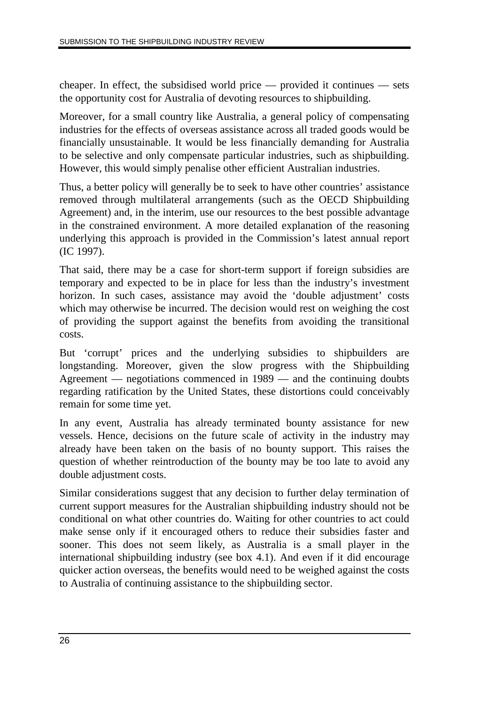cheaper. In effect, the subsidised world price — provided it continues — sets the opportunity cost for Australia of devoting resources to shipbuilding.

Moreover, for a small country like Australia, a general policy of compensating industries for the effects of overseas assistance across all traded goods would be financially unsustainable. It would be less financially demanding for Australia to be selective and only compensate particular industries, such as shipbuilding. However, this would simply penalise other efficient Australian industries.

Thus, a better policy will generally be to seek to have other countries' assistance removed through multilateral arrangements (such as the OECD Shipbuilding Agreement) and, in the interim, use our resources to the best possible advantage in the constrained environment. A more detailed explanation of the reasoning underlying this approach is provided in the Commission's latest annual report (IC 1997).

That said, there may be a case for short-term support if foreign subsidies are temporary and expected to be in place for less than the industry's investment horizon. In such cases, assistance may avoid the 'double adjustment' costs which may otherwise be incurred. The decision would rest on weighing the cost of providing the support against the benefits from avoiding the transitional costs.

But 'corrupt' prices and the underlying subsidies to shipbuilders are longstanding. Moreover, given the slow progress with the Shipbuilding Agreement — negotiations commenced in 1989 — and the continuing doubts regarding ratification by the United States, these distortions could conceivably remain for some time yet.

In any event, Australia has already terminated bounty assistance for new vessels. Hence, decisions on the future scale of activity in the industry may already have been taken on the basis of no bounty support. This raises the question of whether reintroduction of the bounty may be too late to avoid any double adjustment costs.

Similar considerations suggest that any decision to further delay termination of current support measures for the Australian shipbuilding industry should not be conditional on what other countries do. Waiting for other countries to act could make sense only if it encouraged others to reduce their subsidies faster and sooner. This does not seem likely, as Australia is a small player in the international shipbuilding industry (see box 4.1). And even if it did encourage quicker action overseas, the benefits would need to be weighed against the costs to Australia of continuing assistance to the shipbuilding sector.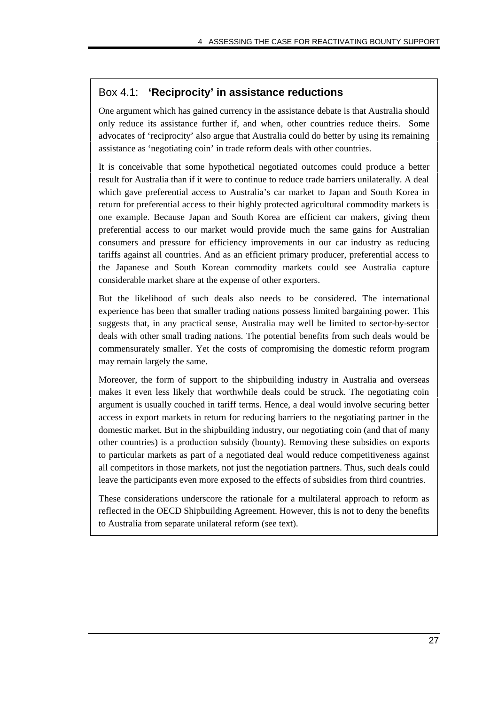#### Box 4.1: **'Reciprocity' in assistance reductions**

One argument which has gained currency in the assistance debate is that Australia should only reduce its assistance further if, and when, other countries reduce theirs. Some advocates of 'reciprocity' also argue that Australia could do better by using its remaining assistance as 'negotiating coin' in trade reform deals with other countries.

It is conceivable that some hypothetical negotiated outcomes could produce a better result for Australia than if it were to continue to reduce trade barriers unilaterally. A deal which gave preferential access to Australia's car market to Japan and South Korea in return for preferential access to their highly protected agricultural commodity markets is one example. Because Japan and South Korea are efficient car makers, giving them preferential access to our market would provide much the same gains for Australian consumers and pressure for efficiency improvements in our car industry as reducing tariffs against all countries. And as an efficient primary producer, preferential access to the Japanese and South Korean commodity markets could see Australia capture considerable market share at the expense of other exporters.

But the likelihood of such deals also needs to be considered. The international experience has been that smaller trading nations possess limited bargaining power. This suggests that, in any practical sense, Australia may well be limited to sector-by-sector deals with other small trading nations. The potential benefits from such deals would be commensurately smaller. Yet the costs of compromising the domestic reform program may remain largely the same.

Moreover, the form of support to the shipbuilding industry in Australia and overseas makes it even less likely that worthwhile deals could be struck. The negotiating coin argument is usually couched in tariff terms. Hence, a deal would involve securing better access in export markets in return for reducing barriers to the negotiating partner in the domestic market. But in the shipbuilding industry, our negotiating coin (and that of many other countries) is a production subsidy (bounty). Removing these subsidies on exports to particular markets as part of a negotiated deal would reduce competitiveness against all competitors in those markets, not just the negotiation partners. Thus, such deals could leave the participants even more exposed to the effects of subsidies from third countries.

These considerations underscore the rationale for a multilateral approach to reform as reflected in the OECD Shipbuilding Agreement. However, this is not to deny the benefits to Australia from separate unilateral reform (see text).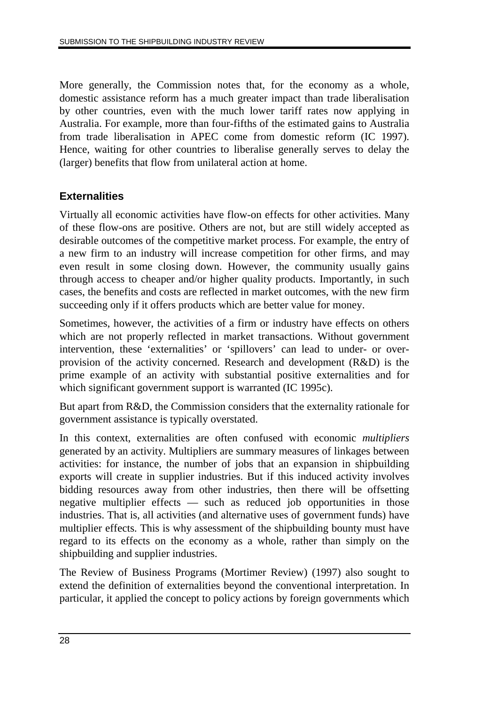More generally, the Commission notes that, for the economy as a whole, domestic assistance reform has a much greater impact than trade liberalisation by other countries, even with the much lower tariff rates now applying in Australia. For example, more than four-fifths of the estimated gains to Australia from trade liberalisation in APEC come from domestic reform (IC 1997). Hence, waiting for other countries to liberalise generally serves to delay the (larger) benefits that flow from unilateral action at home.

#### **Externalities**

Virtually all economic activities have flow-on effects for other activities. Many of these flow-ons are positive. Others are not, but are still widely accepted as desirable outcomes of the competitive market process. For example, the entry of a new firm to an industry will increase competition for other firms, and may even result in some closing down. However, the community usually gains through access to cheaper and/or higher quality products. Importantly, in such cases, the benefits and costs are reflected in market outcomes, with the new firm succeeding only if it offers products which are better value for money.

Sometimes, however, the activities of a firm or industry have effects on others which are not properly reflected in market transactions. Without government intervention, these 'externalities' or 'spillovers' can lead to under- or overprovision of the activity concerned. Research and development (R&D) is the prime example of an activity with substantial positive externalities and for which significant government support is warranted (IC 1995c).

But apart from R&D, the Commission considers that the externality rationale for government assistance is typically overstated.

In this context, externalities are often confused with economic *multipliers* generated by an activity. Multipliers are summary measures of linkages between activities: for instance, the number of jobs that an expansion in shipbuilding exports will create in supplier industries. But if this induced activity involves bidding resources away from other industries, then there will be offsetting negative multiplier effects — such as reduced job opportunities in those industries. That is, all activities (and alternative uses of government funds) have multiplier effects. This is why assessment of the shipbuilding bounty must have regard to its effects on the economy as a whole, rather than simply on the shipbuilding and supplier industries.

The Review of Business Programs (Mortimer Review) (1997) also sought to extend the definition of externalities beyond the conventional interpretation. In particular, it applied the concept to policy actions by foreign governments which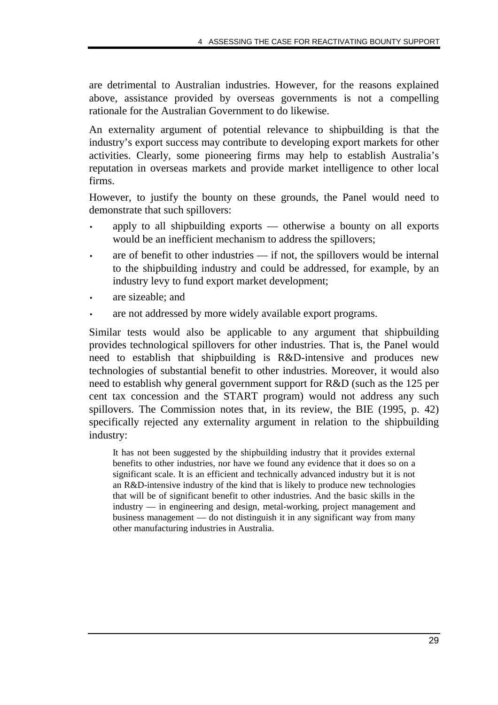are detrimental to Australian industries. However, for the reasons explained above, assistance provided by overseas governments is not a compelling rationale for the Australian Government to do likewise.

An externality argument of potential relevance to shipbuilding is that the industry's export success may contribute to developing export markets for other activities. Clearly, some pioneering firms may help to establish Australia's reputation in overseas markets and provide market intelligence to other local firms.

However, to justify the bounty on these grounds, the Panel would need to demonstrate that such spillovers:

- apply to all shipbuilding exports otherwise a bounty on all exports would be an inefficient mechanism to address the spillovers;
- are of benefit to other industries if not, the spillovers would be internal to the shipbuilding industry and could be addressed, for example, by an industry levy to fund export market development;
- are sizeable; and
- are not addressed by more widely available export programs.

Similar tests would also be applicable to any argument that shipbuilding provides technological spillovers for other industries. That is, the Panel would need to establish that shipbuilding is R&D-intensive and produces new technologies of substantial benefit to other industries. Moreover, it would also need to establish why general government support for R&D (such as the 125 per cent tax concession and the START program) would not address any such spillovers. The Commission notes that, in its review, the BIE (1995, p. 42) specifically rejected any externality argument in relation to the shipbuilding industry:

It has not been suggested by the shipbuilding industry that it provides external benefits to other industries, nor have we found any evidence that it does so on a significant scale. It is an efficient and technically advanced industry but it is not an R&D-intensive industry of the kind that is likely to produce new technologies that will be of significant benefit to other industries. And the basic skills in the industry — in engineering and design, metal-working, project management and business management — do not distinguish it in any significant way from many other manufacturing industries in Australia.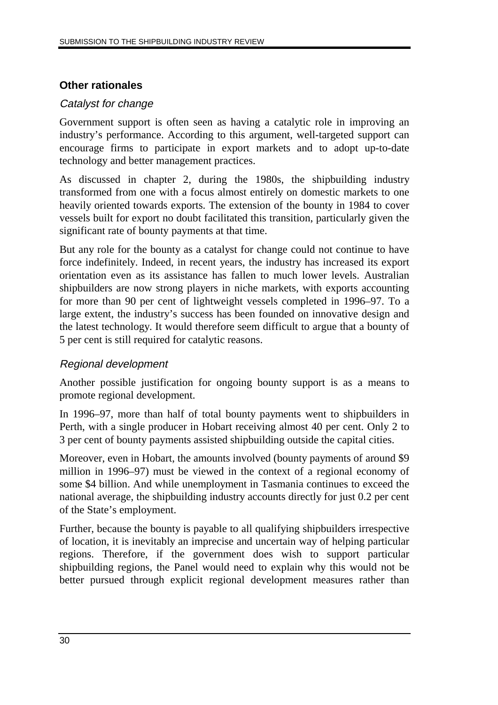#### **Other rationales**

#### Catalyst for change

Government support is often seen as having a catalytic role in improving an industry's performance. According to this argument, well-targeted support can encourage firms to participate in export markets and to adopt up-to-date technology and better management practices.

As discussed in chapter 2, during the 1980s, the shipbuilding industry transformed from one with a focus almost entirely on domestic markets to one heavily oriented towards exports. The extension of the bounty in 1984 to cover vessels built for export no doubt facilitated this transition, particularly given the significant rate of bounty payments at that time.

But any role for the bounty as a catalyst for change could not continue to have force indefinitely. Indeed, in recent years, the industry has increased its export orientation even as its assistance has fallen to much lower levels. Australian shipbuilders are now strong players in niche markets, with exports accounting for more than 90 per cent of lightweight vessels completed in 1996–97. To a large extent, the industry's success has been founded on innovative design and the latest technology. It would therefore seem difficult to argue that a bounty of 5 per cent is still required for catalytic reasons.

#### Regional development

Another possible justification for ongoing bounty support is as a means to promote regional development.

In 1996–97, more than half of total bounty payments went to shipbuilders in Perth, with a single producer in Hobart receiving almost 40 per cent. Only 2 to 3 per cent of bounty payments assisted shipbuilding outside the capital cities.

Moreover, even in Hobart, the amounts involved (bounty payments of around \$9 million in 1996–97) must be viewed in the context of a regional economy of some \$4 billion. And while unemployment in Tasmania continues to exceed the national average, the shipbuilding industry accounts directly for just 0.2 per cent of the State's employment.

Further, because the bounty is payable to all qualifying shipbuilders irrespective of location, it is inevitably an imprecise and uncertain way of helping particular regions. Therefore, if the government does wish to support particular shipbuilding regions, the Panel would need to explain why this would not be better pursued through explicit regional development measures rather than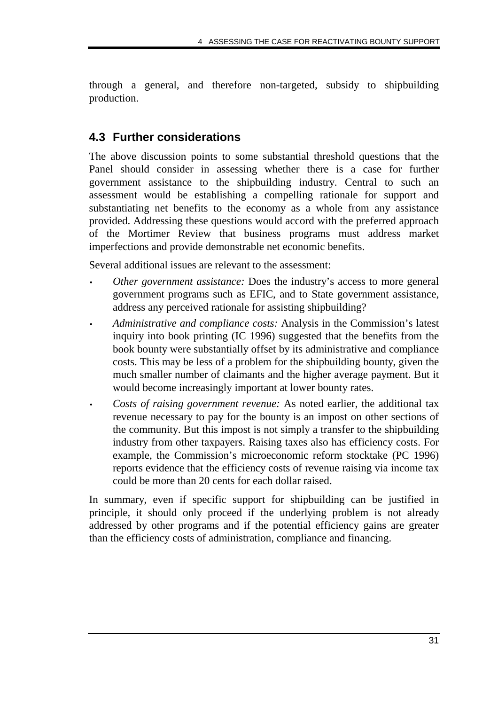through a general, and therefore non-targeted, subsidy to shipbuilding production.

# **4.3 Further considerations**

The above discussion points to some substantial threshold questions that the Panel should consider in assessing whether there is a case for further government assistance to the shipbuilding industry. Central to such an assessment would be establishing a compelling rationale for support and substantiating net benefits to the economy as a whole from any assistance provided. Addressing these questions would accord with the preferred approach of the Mortimer Review that business programs must address market imperfections and provide demonstrable net economic benefits.

Several additional issues are relevant to the assessment:

- *Other government assistance:* Does the industry's access to more general government programs such as EFIC, and to State government assistance, address any perceived rationale for assisting shipbuilding?
- *Administrative and compliance costs:* Analysis in the Commission's latest inquiry into book printing (IC 1996) suggested that the benefits from the book bounty were substantially offset by its administrative and compliance costs. This may be less of a problem for the shipbuilding bounty, given the much smaller number of claimants and the higher average payment. But it would become increasingly important at lower bounty rates.
- *Costs of raising government revenue:* As noted earlier, the additional tax revenue necessary to pay for the bounty is an impost on other sections of the community. But this impost is not simply a transfer to the shipbuilding industry from other taxpayers. Raising taxes also has efficiency costs. For example, the Commission's microeconomic reform stocktake (PC 1996) reports evidence that the efficiency costs of revenue raising via income tax could be more than 20 cents for each dollar raised.

In summary, even if specific support for shipbuilding can be justified in principle, it should only proceed if the underlying problem is not already addressed by other programs and if the potential efficiency gains are greater than the efficiency costs of administration, compliance and financing.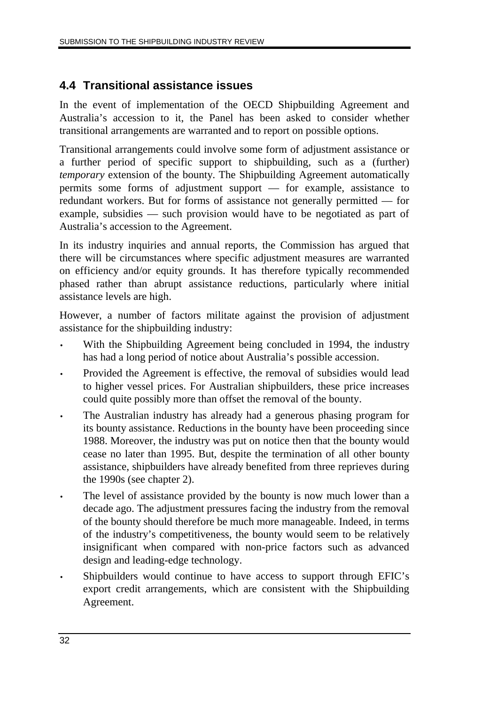## **4.4 Transitional assistance issues**

In the event of implementation of the OECD Shipbuilding Agreement and Australia's accession to it, the Panel has been asked to consider whether transitional arrangements are warranted and to report on possible options.

Transitional arrangements could involve some form of adjustment assistance or a further period of specific support to shipbuilding, such as a (further) *temporary* extension of the bounty. The Shipbuilding Agreement automatically permits some forms of adjustment support — for example, assistance to redundant workers. But for forms of assistance not generally permitted — for example, subsidies — such provision would have to be negotiated as part of Australia's accession to the Agreement.

In its industry inquiries and annual reports, the Commission has argued that there will be circumstances where specific adjustment measures are warranted on efficiency and/or equity grounds. It has therefore typically recommended phased rather than abrupt assistance reductions, particularly where initial assistance levels are high.

However, a number of factors militate against the provision of adjustment assistance for the shipbuilding industry:

- With the Shipbuilding Agreement being concluded in 1994, the industry has had a long period of notice about Australia's possible accession.
- Provided the Agreement is effective, the removal of subsidies would lead to higher vessel prices. For Australian shipbuilders, these price increases could quite possibly more than offset the removal of the bounty.
- The Australian industry has already had a generous phasing program for its bounty assistance. Reductions in the bounty have been proceeding since 1988. Moreover, the industry was put on notice then that the bounty would cease no later than 1995. But, despite the termination of all other bounty assistance, shipbuilders have already benefited from three reprieves during the 1990s (see chapter 2).
- The level of assistance provided by the bounty is now much lower than a decade ago. The adjustment pressures facing the industry from the removal of the bounty should therefore be much more manageable. Indeed, in terms of the industry's competitiveness, the bounty would seem to be relatively insignificant when compared with non-price factors such as advanced design and leading-edge technology.
- Shipbuilders would continue to have access to support through EFIC's export credit arrangements, which are consistent with the Shipbuilding Agreement.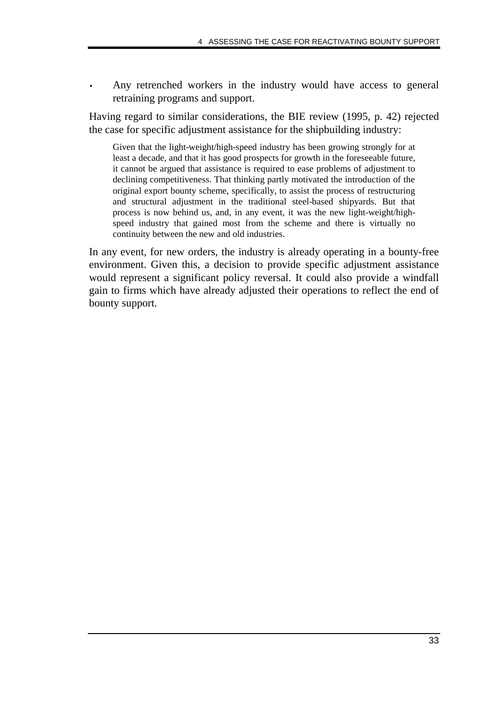Any retrenched workers in the industry would have access to general retraining programs and support.

Having regard to similar considerations, the BIE review (1995, p. 42) rejected the case for specific adjustment assistance for the shipbuilding industry:

Given that the light-weight/high-speed industry has been growing strongly for at least a decade, and that it has good prospects for growth in the foreseeable future, it cannot be argued that assistance is required to ease problems of adjustment to declining competitiveness. That thinking partly motivated the introduction of the original export bounty scheme, specifically, to assist the process of restructuring and structural adjustment in the traditional steel-based shipyards. But that process is now behind us, and, in any event, it was the new light-weight/highspeed industry that gained most from the scheme and there is virtually no continuity between the new and old industries.

In any event, for new orders, the industry is already operating in a bounty-free environment. Given this, a decision to provide specific adjustment assistance would represent a significant policy reversal. It could also provide a windfall gain to firms which have already adjusted their operations to reflect the end of bounty support.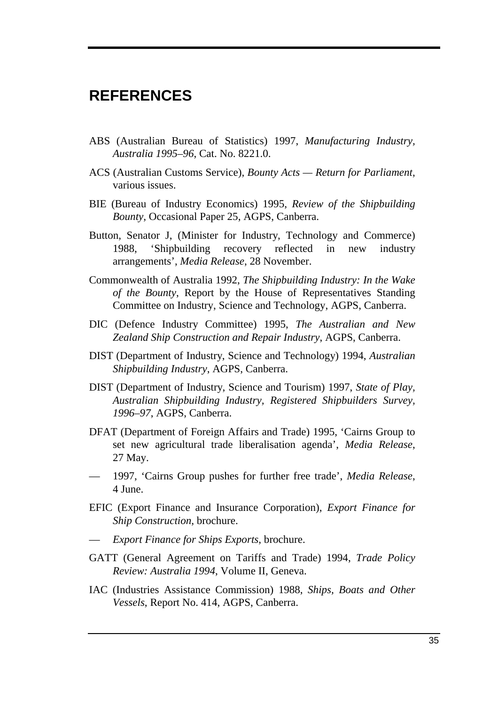# **REFERENCES**

- ABS (Australian Bureau of Statistics) 1997, *Manufacturing Industry, Australia 1995–96*, Cat. No. 8221.0.
- ACS (Australian Customs Service), *Bounty Acts Return for Parliament*, various issues.
- BIE (Bureau of Industry Economics) 1995, *Review of the Shipbuilding Bounty*, Occasional Paper 25, AGPS, Canberra.
- Button, Senator J, (Minister for Industry, Technology and Commerce) 1988, 'Shipbuilding recovery reflected in new industry arrangements', *Media Release*, 28 November.
- Commonwealth of Australia 1992, *The Shipbuilding Industry: In the Wake of the Bounty*, Report by the House of Representatives Standing Committee on Industry, Science and Technology, AGPS, Canberra.
- DIC (Defence Industry Committee) 1995, *The Australian and New Zealand Ship Construction and Repair Industry*, AGPS, Canberra.
- DIST (Department of Industry, Science and Technology) 1994, *Australian Shipbuilding Industry*, AGPS, Canberra.
- DIST (Department of Industry, Science and Tourism) 1997, *State of Play, Australian Shipbuilding Industry, Registered Shipbuilders Survey, 1996–97*, AGPS, Canberra.
- DFAT (Department of Foreign Affairs and Trade) 1995, 'Cairns Group to set new agricultural trade liberalisation agenda', *Media Release*, 27 May.
- 1997, 'Cairns Group pushes for further free trade', *Media Release*, 4 June.
- EFIC (Export Finance and Insurance Corporation), *Export Finance for Ship Construction*, brochure.
- *Export Finance for Ships Exports*, brochure.
- GATT (General Agreement on Tariffs and Trade) 1994, *Trade Policy Review: Australia 1994*, Volume II, Geneva.
- IAC (Industries Assistance Commission) 1988, *Ships, Boats and Other Vessels*, Report No. 414, AGPS, Canberra.